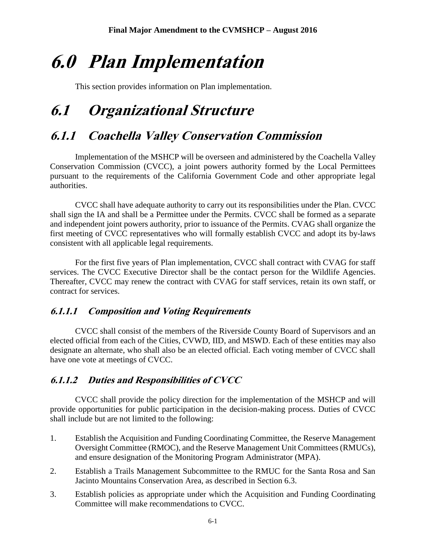# **6.0 Plan Implementation**

This section provides information on Plan implementation.

# **6.1 Organizational Structure**

## **6.1.1 Coachella Valley Conservation Commission**

Implementation of the MSHCP will be overseen and administered by the Coachella Valley Conservation Commission (CVCC), a joint powers authority formed by the Local Permittees pursuant to the requirements of the California Government Code and other appropriate legal authorities.

CVCC shall have adequate authority to carry out its responsibilities under the Plan. CVCC shall sign the IA and shall be a Permittee under the Permits. CVCC shall be formed as a separate and independent joint powers authority, prior to issuance of the Permits. CVAG shall organize the first meeting of CVCC representatives who will formally establish CVCC and adopt its by-laws consistent with all applicable legal requirements.

For the first five years of Plan implementation, CVCC shall contract with CVAG for staff services. The CVCC Executive Director shall be the contact person for the Wildlife Agencies. Thereafter, CVCC may renew the contract with CVAG for staff services, retain its own staff, or contract for services.

#### **6.1.1.1 Composition and Voting Requirements**

CVCC shall consist of the members of the Riverside County Board of Supervisors and an elected official from each of the Cities, CVWD, IID, and MSWD. Each of these entities may also designate an alternate, who shall also be an elected official. Each voting member of CVCC shall have one vote at meetings of CVCC.

#### **6.1.1.2 Duties and Responsibilities of CVCC**

CVCC shall provide the policy direction for the implementation of the MSHCP and will provide opportunities for public participation in the decision-making process. Duties of CVCC shall include but are not limited to the following:

- 1. Establish the Acquisition and Funding Coordinating Committee, the Reserve Management Oversight Committee (RMOC), and the Reserve Management Unit Committees (RMUCs), and ensure designation of the Monitoring Program Administrator (MPA).
- 2. Establish a Trails Management Subcommittee to the RMUC for the Santa Rosa and San Jacinto Mountains Conservation Area, as described in Section 6.3.
- 3. Establish policies as appropriate under which the Acquisition and Funding Coordinating Committee will make recommendations to CVCC.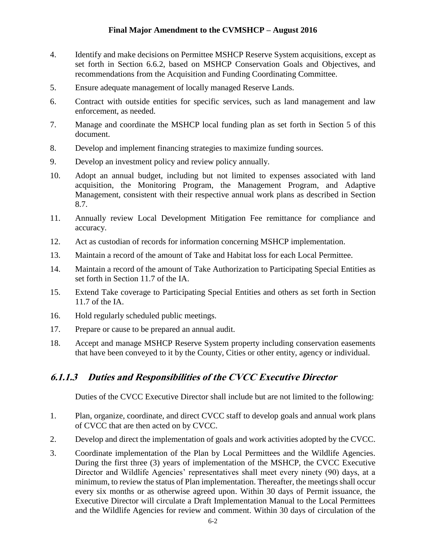- 4. Identify and make decisions on Permittee MSHCP Reserve System acquisitions, except as set forth in Section 6.6.2, based on MSHCP Conservation Goals and Objectives, and recommendations from the Acquisition and Funding Coordinating Committee.
- 5. Ensure adequate management of locally managed Reserve Lands.
- 6. Contract with outside entities for specific services, such as land management and law enforcement, as needed.
- 7. Manage and coordinate the MSHCP local funding plan as set forth in Section 5 of this document.
- 8. Develop and implement financing strategies to maximize funding sources.
- 9. Develop an investment policy and review policy annually.
- 10. Adopt an annual budget, including but not limited to expenses associated with land acquisition, the Monitoring Program, the Management Program, and Adaptive Management, consistent with their respective annual work plans as described in Section 8.7.
- 11. Annually review Local Development Mitigation Fee remittance for compliance and accuracy.
- 12. Act as custodian of records for information concerning MSHCP implementation.
- 13. Maintain a record of the amount of Take and Habitat loss for each Local Permittee.
- 14. Maintain a record of the amount of Take Authorization to Participating Special Entities as set forth in Section 11.7 of the IA.
- 15. Extend Take coverage to Participating Special Entities and others as set forth in Section 11.7 of the IA.
- 16. Hold regularly scheduled public meetings.
- 17. Prepare or cause to be prepared an annual audit.
- 18. Accept and manage MSHCP Reserve System property including conservation easements that have been conveyed to it by the County, Cities or other entity, agency or individual.

#### **6.1.1.3 Duties and Responsibilities of the CVCC Executive Director**

Duties of the CVCC Executive Director shall include but are not limited to the following:

- 1. Plan, organize, coordinate, and direct CVCC staff to develop goals and annual work plans of CVCC that are then acted on by CVCC.
- 2. Develop and direct the implementation of goals and work activities adopted by the CVCC.
- 3. Coordinate implementation of the Plan by Local Permittees and the Wildlife Agencies. During the first three (3) years of implementation of the MSHCP, the CVCC Executive Director and Wildlife Agencies' representatives shall meet every ninety (90) days, at a minimum, to review the status of Plan implementation. Thereafter, the meetings shall occur every six months or as otherwise agreed upon. Within 30 days of Permit issuance, the Executive Director will circulate a Draft Implementation Manual to the Local Permittees and the Wildlife Agencies for review and comment. Within 30 days of circulation of the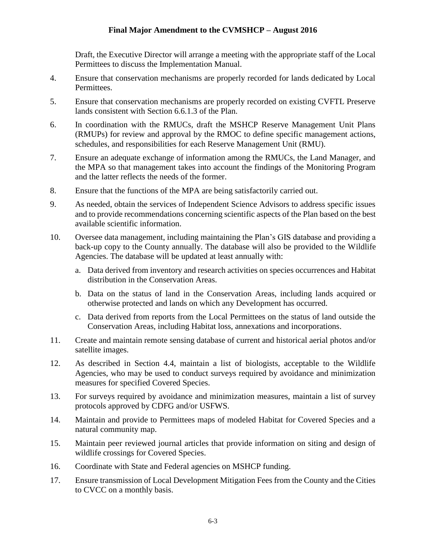Draft, the Executive Director will arrange a meeting with the appropriate staff of the Local Permittees to discuss the Implementation Manual.

- 4. Ensure that conservation mechanisms are properly recorded for lands dedicated by Local Permittees.
- 5. Ensure that conservation mechanisms are properly recorded on existing CVFTL Preserve lands consistent with Section 6.6.1.3 of the Plan.
- 6. In coordination with the RMUCs, draft the MSHCP Reserve Management Unit Plans (RMUPs) for review and approval by the RMOC to define specific management actions, schedules, and responsibilities for each Reserve Management Unit (RMU).
- 7. Ensure an adequate exchange of information among the RMUCs, the Land Manager, and the MPA so that management takes into account the findings of the Monitoring Program and the latter reflects the needs of the former.
- 8. Ensure that the functions of the MPA are being satisfactorily carried out.
- 9. As needed, obtain the services of Independent Science Advisors to address specific issues and to provide recommendations concerning scientific aspects of the Plan based on the best available scientific information.
- 10. Oversee data management, including maintaining the Plan's GIS database and providing a back-up copy to the County annually. The database will also be provided to the Wildlife Agencies. The database will be updated at least annually with:
	- a. Data derived from inventory and research activities on species occurrences and Habitat distribution in the Conservation Areas.
	- b. Data on the status of land in the Conservation Areas, including lands acquired or otherwise protected and lands on which any Development has occurred.
	- c. Data derived from reports from the Local Permittees on the status of land outside the Conservation Areas, including Habitat loss, annexations and incorporations.
- 11. Create and maintain remote sensing database of current and historical aerial photos and/or satellite images.
- 12. As described in Section 4.4, maintain a list of biologists, acceptable to the Wildlife Agencies, who may be used to conduct surveys required by avoidance and minimization measures for specified Covered Species.
- 13. For surveys required by avoidance and minimization measures, maintain a list of survey protocols approved by CDFG and/or USFWS.
- 14. Maintain and provide to Permittees maps of modeled Habitat for Covered Species and a natural community map.
- 15. Maintain peer reviewed journal articles that provide information on siting and design of wildlife crossings for Covered Species.
- 16. Coordinate with State and Federal agencies on MSHCP funding.
- 17. Ensure transmission of Local Development Mitigation Fees from the County and the Cities to CVCC on a monthly basis.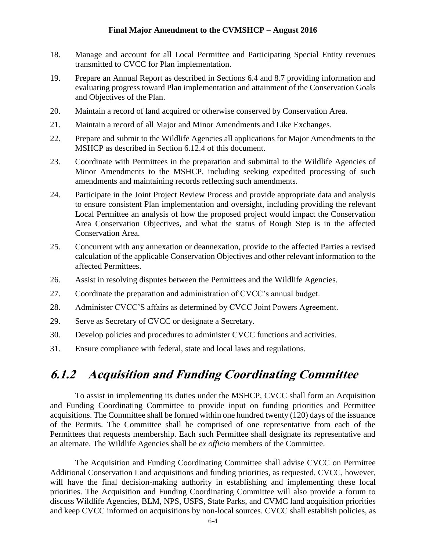- 18. Manage and account for all Local Permittee and Participating Special Entity revenues transmitted to CVCC for Plan implementation.
- 19. Prepare an Annual Report as described in Sections 6.4 and 8.7 providing information and evaluating progress toward Plan implementation and attainment of the Conservation Goals and Objectives of the Plan.
- 20. Maintain a record of land acquired or otherwise conserved by Conservation Area.
- 21. Maintain a record of all Major and Minor Amendments and Like Exchanges.
- 22. Prepare and submit to the Wildlife Agencies all applications for Major Amendments to the MSHCP as described in Section 6.12.4 of this document.
- 23. Coordinate with Permittees in the preparation and submittal to the Wildlife Agencies of Minor Amendments to the MSHCP, including seeking expedited processing of such amendments and maintaining records reflecting such amendments.
- 24. Participate in the Joint Project Review Process and provide appropriate data and analysis to ensure consistent Plan implementation and oversight, including providing the relevant Local Permittee an analysis of how the proposed project would impact the Conservation Area Conservation Objectives, and what the status of Rough Step is in the affected Conservation Area.
- 25. Concurrent with any annexation or deannexation, provide to the affected Parties a revised calculation of the applicable Conservation Objectives and other relevant information to the affected Permittees.
- 26. Assist in resolving disputes between the Permittees and the Wildlife Agencies.
- 27. Coordinate the preparation and administration of CVCC's annual budget.
- 28. Administer CVCC'S affairs as determined by CVCC Joint Powers Agreement.
- 29. Serve as Secretary of CVCC or designate a Secretary.
- 30. Develop policies and procedures to administer CVCC functions and activities.
- 31. Ensure compliance with federal, state and local laws and regulations.

### **6.1.2 Acquisition and Funding Coordinating Committee**

To assist in implementing its duties under the MSHCP, CVCC shall form an Acquisition and Funding Coordinating Committee to provide input on funding priorities and Permittee acquisitions. The Committee shall be formed within one hundred twenty (120) days of the issuance of the Permits. The Committee shall be comprised of one representative from each of the Permittees that requests membership. Each such Permittee shall designate its representative and an alternate. The Wildlife Agencies shall be *ex officio* members of the Committee.

The Acquisition and Funding Coordinating Committee shall advise CVCC on Permittee Additional Conservation Land acquisitions and funding priorities, as requested. CVCC, however, will have the final decision-making authority in establishing and implementing these local priorities. The Acquisition and Funding Coordinating Committee will also provide a forum to discuss Wildlife Agencies, BLM, NPS, USFS, State Parks, and CVMC land acquisition priorities and keep CVCC informed on acquisitions by non-local sources. CVCC shall establish policies, as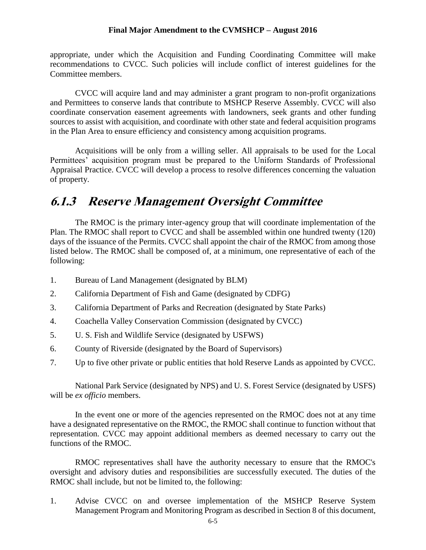appropriate, under which the Acquisition and Funding Coordinating Committee will make recommendations to CVCC. Such policies will include conflict of interest guidelines for the Committee members.

CVCC will acquire land and may administer a grant program to non-profit organizations and Permittees to conserve lands that contribute to MSHCP Reserve Assembly. CVCC will also coordinate conservation easement agreements with landowners, seek grants and other funding sources to assist with acquisition, and coordinate with other state and federal acquisition programs in the Plan Area to ensure efficiency and consistency among acquisition programs.

Acquisitions will be only from a willing seller. All appraisals to be used for the Local Permittees' acquisition program must be prepared to the Uniform Standards of Professional Appraisal Practice. CVCC will develop a process to resolve differences concerning the valuation of property.

### **6.1.3 Reserve Management Oversight Committee**

The RMOC is the primary inter-agency group that will coordinate implementation of the Plan. The RMOC shall report to CVCC and shall be assembled within one hundred twenty (120) days of the issuance of the Permits. CVCC shall appoint the chair of the RMOC from among those listed below. The RMOC shall be composed of, at a minimum, one representative of each of the following:

- 1. Bureau of Land Management (designated by BLM)
- 2. California Department of Fish and Game (designated by CDFG)
- 3. California Department of Parks and Recreation (designated by State Parks)
- 4. Coachella Valley Conservation Commission (designated by CVCC)
- 5. U. S. Fish and Wildlife Service (designated by USFWS)
- 6. County of Riverside (designated by the Board of Supervisors)
- 7. Up to five other private or public entities that hold Reserve Lands as appointed by CVCC.

National Park Service (designated by NPS) and U. S. Forest Service (designated by USFS) will be *ex officio* members.

In the event one or more of the agencies represented on the RMOC does not at any time have a designated representative on the RMOC, the RMOC shall continue to function without that representation. CVCC may appoint additional members as deemed necessary to carry out the functions of the RMOC.

RMOC representatives shall have the authority necessary to ensure that the RMOC's oversight and advisory duties and responsibilities are successfully executed. The duties of the RMOC shall include, but not be limited to, the following:

1. Advise CVCC on and oversee implementation of the MSHCP Reserve System Management Program and Monitoring Program as described in Section 8 of this document,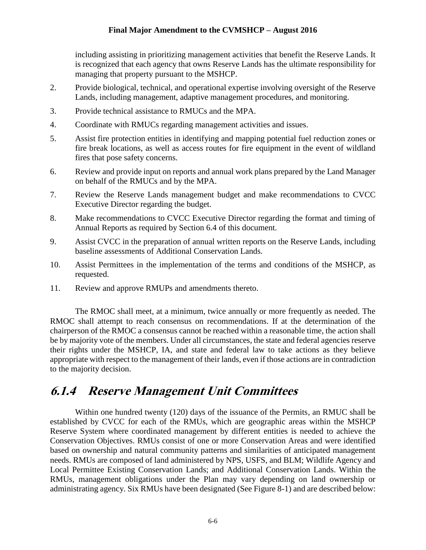including assisting in prioritizing management activities that benefit the Reserve Lands. It is recognized that each agency that owns Reserve Lands has the ultimate responsibility for managing that property pursuant to the MSHCP.

- 2. Provide biological, technical, and operational expertise involving oversight of the Reserve Lands, including management, adaptive management procedures, and monitoring.
- 3. Provide technical assistance to RMUCs and the MPA.
- 4. Coordinate with RMUCs regarding management activities and issues.
- 5. Assist fire protection entities in identifying and mapping potential fuel reduction zones or fire break locations, as well as access routes for fire equipment in the event of wildland fires that pose safety concerns.
- 6. Review and provide input on reports and annual work plans prepared by the Land Manager on behalf of the RMUCs and by the MPA.
- 7. Review the Reserve Lands management budget and make recommendations to CVCC Executive Director regarding the budget.
- 8. Make recommendations to CVCC Executive Director regarding the format and timing of Annual Reports as required by Section 6.4 of this document.
- 9. Assist CVCC in the preparation of annual written reports on the Reserve Lands, including baseline assessments of Additional Conservation Lands.
- 10. Assist Permittees in the implementation of the terms and conditions of the MSHCP, as requested.
- 11. Review and approve RMUPs and amendments thereto.

The RMOC shall meet, at a minimum, twice annually or more frequently as needed. The RMOC shall attempt to reach consensus on recommendations. If at the determination of the chairperson of the RMOC a consensus cannot be reached within a reasonable time, the action shall be by majority vote of the members. Under all circumstances, the state and federal agencies reserve their rights under the MSHCP, IA, and state and federal law to take actions as they believe appropriate with respect to the management of their lands, even if those actions are in contradiction to the majority decision.

### **6.1.4 Reserve Management Unit Committees**

Within one hundred twenty (120) days of the issuance of the Permits, an RMUC shall be established by CVCC for each of the RMUs, which are geographic areas within the MSHCP Reserve System where coordinated management by different entities is needed to achieve the Conservation Objectives. RMUs consist of one or more Conservation Areas and were identified based on ownership and natural community patterns and similarities of anticipated management needs. RMUs are composed of land administered by NPS, USFS, and BLM; Wildlife Agency and Local Permittee Existing Conservation Lands; and Additional Conservation Lands. Within the RMUs, management obligations under the Plan may vary depending on land ownership or administrating agency. Six RMUs have been designated (See Figure 8-1) and are described below: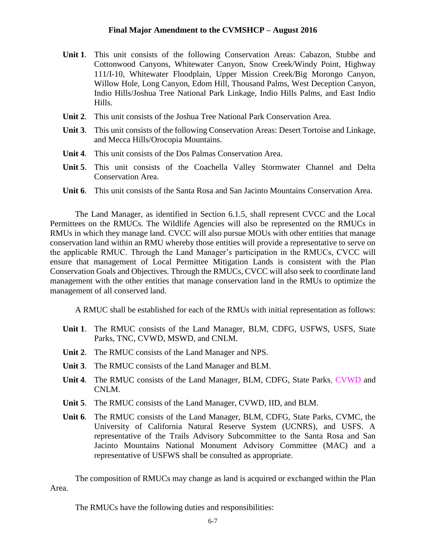- **Unit 1**. This unit consists of the following Conservation Areas: Cabazon, Stubbe and Cottonwood Canyons, Whitewater Canyon, Snow Creek/Windy Point, Highway 111/I-10, Whitewater Floodplain, Upper Mission Creek/Big Morongo Canyon, Willow Hole, Long Canyon, Edom Hill, Thousand Palms, West Deception Canyon, Indio Hills/Joshua Tree National Park Linkage, Indio Hills Palms, and East Indio Hills.
- **Unit 2**. This unit consists of the Joshua Tree National Park Conservation Area.
- **Unit 3**. This unit consists of the following Conservation Areas: Desert Tortoise and Linkage, and Mecca Hills/Orocopia Mountains.
- **Unit 4**. This unit consists of the Dos Palmas Conservation Area.
- **Unit 5**. This unit consists of the Coachella Valley Stormwater Channel and Delta Conservation Area.
- **Unit 6**. This unit consists of the Santa Rosa and San Jacinto Mountains Conservation Area.

The Land Manager, as identified in Section 6.1.5, shall represent CVCC and the Local Permittees on the RMUCs. The Wildlife Agencies will also be represented on the RMUCs in RMUs in which they manage land. CVCC will also pursue MOUs with other entities that manage conservation land within an RMU whereby those entities will provide a representative to serve on the applicable RMUC. Through the Land Manager's participation in the RMUCs, CVCC will ensure that management of Local Permittee Mitigation Lands is consistent with the Plan Conservation Goals and Objectives. Through the RMUCs, CVCC will also seek to coordinate land management with the other entities that manage conservation land in the RMUs to optimize the management of all conserved land.

A RMUC shall be established for each of the RMUs with initial representation as follows:

- **Unit 1**. The RMUC consists of the Land Manager, BLM, CDFG, USFWS, USFS, State Parks, TNC, CVWD, MSWD, and CNLM.
- **Unit 2**. The RMUC consists of the Land Manager and NPS.
- **Unit 3**. The RMUC consists of the Land Manager and BLM.
- **Unit 4**. The RMUC consists of the Land Manager, BLM, CDFG, State Parks, CVWD and CNLM.
- **Unit 5**. The RMUC consists of the Land Manager, CVWD, IID, and BLM.
- **Unit 6**. The RMUC consists of the Land Manager, BLM, CDFG, State Parks, CVMC, the University of California Natural Reserve System (UCNRS), and USFS. A representative of the Trails Advisory Subcommittee to the Santa Rosa and San Jacinto Mountains National Monument Advisory Committee (MAC) and a representative of USFWS shall be consulted as appropriate.

The composition of RMUCs may change as land is acquired or exchanged within the Plan Area.

The RMUCs have the following duties and responsibilities: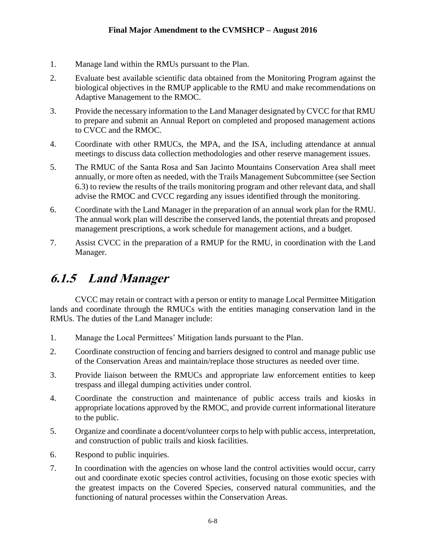- 1. Manage land within the RMUs pursuant to the Plan.
- 2. Evaluate best available scientific data obtained from the Monitoring Program against the biological objectives in the RMUP applicable to the RMU and make recommendations on Adaptive Management to the RMOC.
- 3. Provide the necessary information to the Land Manager designated by CVCC for that RMU to prepare and submit an Annual Report on completed and proposed management actions to CVCC and the RMOC.
- 4. Coordinate with other RMUCs, the MPA, and the ISA, including attendance at annual meetings to discuss data collection methodologies and other reserve management issues.
- 5. The RMUC of the Santa Rosa and San Jacinto Mountains Conservation Area shall meet annually, or more often as needed, with the Trails Management Subcommittee (see Section 6.3) to review the results of the trails monitoring program and other relevant data, and shall advise the RMOC and CVCC regarding any issues identified through the monitoring.
- 6. Coordinate with the Land Manager in the preparation of an annual work plan for the RMU. The annual work plan will describe the conserved lands, the potential threats and proposed management prescriptions, a work schedule for management actions, and a budget.
- 7. Assist CVCC in the preparation of a RMUP for the RMU, in coordination with the Land Manager.

## **6.1.5 Land Manager**

CVCC may retain or contract with a person or entity to manage Local Permittee Mitigation lands and coordinate through the RMUCs with the entities managing conservation land in the RMUs. The duties of the Land Manager include:

- 1. Manage the Local Permittees' Mitigation lands pursuant to the Plan.
- 2. Coordinate construction of fencing and barriers designed to control and manage public use of the Conservation Areas and maintain/replace those structures as needed over time.
- 3. Provide liaison between the RMUCs and appropriate law enforcement entities to keep trespass and illegal dumping activities under control.
- 4. Coordinate the construction and maintenance of public access trails and kiosks in appropriate locations approved by the RMOC, and provide current informational literature to the public.
- 5. Organize and coordinate a docent/volunteer corps to help with public access, interpretation, and construction of public trails and kiosk facilities.
- 6. Respond to public inquiries.
- 7. In coordination with the agencies on whose land the control activities would occur, carry out and coordinate exotic species control activities, focusing on those exotic species with the greatest impacts on the Covered Species, conserved natural communities, and the functioning of natural processes within the Conservation Areas.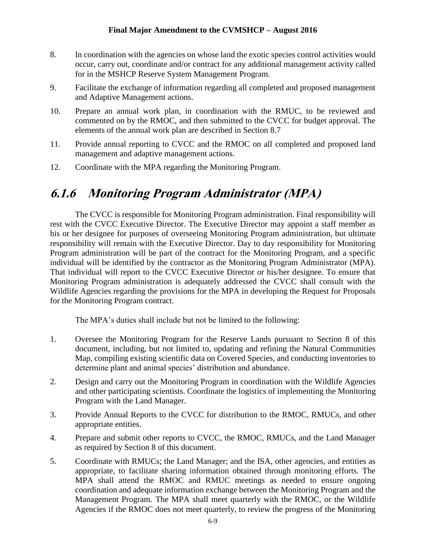- 8. In coordination with the agencies on whose land the exotic species control activities would occur, carry out, coordinate and/or contract for any additional management activity called for in the MSHCP Reserve System Management Program.
- 9. Facilitate the exchange of information regarding all completed and proposed management and Adaptive Management actions.
- 10. Prepare an annual work plan, in coordination with the RMUC, to be reviewed and commented on by the RMOC, and then submitted to the CVCC for budget approval. The elements of the annual work plan are described in Section 8.7
- 11. Provide annual reporting to CVCC and the RMOC on all completed and proposed land management and adaptive management actions.
- 12. Coordinate with the MPA regarding the Monitoring Program.

## **6.1.6 Monitoring Program Administrator (MPA)**

The CVCC is responsible for Monitoring Program administration. Final responsibility will rest with the CVCC Executive Director. The Executive Director may appoint a staff member as his or her designee for purposes of overseeing Monitoring Program administration, but ultimate responsibility will remain with the Executive Director. Day to day responsibility for Monitoring Program administration will be part of the contract for the Monitoring Program, and a specific individual will be identified by the contractor as the Monitoring Program Administrator (MPA). That individual will report to the CVCC Executive Director or his/her designee. To ensure that Monitoring Program administration is adequately addressed the CVCC shall consult with the Wildlife Agencies regarding the provisions for the MPA in developing the Request for Proposals for the Monitoring Program contract.

The MPA's duties shall include but not be limited to the following:

- 1. Oversee the Monitoring Program for the Reserve Lands pursuant to Section 8 of this document, including, but not limited to, updating and refining the Natural Communities Map, compiling existing scientific data on Covered Species, and conducting inventories to determine plant and animal species' distribution and abundance.
- 2. Design and carry out the Monitoring Program in coordination with the Wildlife Agencies and other participating scientists. Coordinate the logistics of implementing the Monitoring Program with the Land Manager.
- 3. Provide Annual Reports to the CVCC for distribution to the RMOC, RMUCs, and other appropriate entities.
- 4. Prepare and submit other reports to CVCC, the RMOC, RMUCs, and the Land Manager as required by Section 8 of this document.
- 5. Coordinate with RMUCs; the Land Manager; and the ISA, other agencies, and entities as appropriate, to facilitate sharing information obtained through monitoring efforts. The MPA shall attend the RMOC and RMUC meetings as needed to ensure ongoing coordination and adequate information exchange between the Monitoring Program and the Management Program. The MPA shall meet quarterly with the RMOC, or the Wildlife Agencies if the RMOC does not meet quarterly, to review the progress of the Monitoring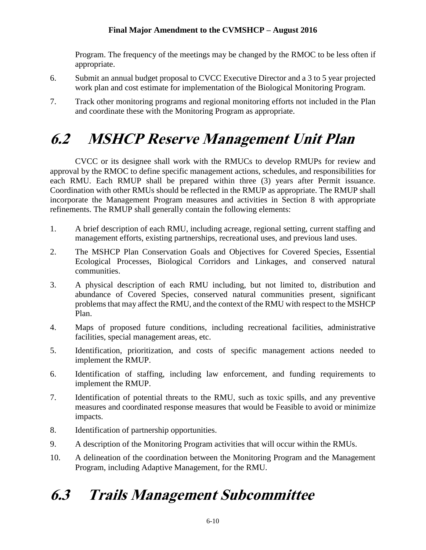Program. The frequency of the meetings may be changed by the RMOC to be less often if appropriate.

- 6. Submit an annual budget proposal to CVCC Executive Director and a 3 to 5 year projected work plan and cost estimate for implementation of the Biological Monitoring Program.
- 7. Track other monitoring programs and regional monitoring efforts not included in the Plan and coordinate these with the Monitoring Program as appropriate.

# **6.2 MSHCP Reserve Management Unit Plan**

CVCC or its designee shall work with the RMUCs to develop RMUPs for review and approval by the RMOC to define specific management actions, schedules, and responsibilities for each RMU. Each RMUP shall be prepared within three (3) years after Permit issuance. Coordination with other RMUs should be reflected in the RMUP as appropriate. The RMUP shall incorporate the Management Program measures and activities in Section 8 with appropriate refinements. The RMUP shall generally contain the following elements:

- 1. A brief description of each RMU, including acreage, regional setting, current staffing and management efforts, existing partnerships, recreational uses, and previous land uses.
- 2. The MSHCP Plan Conservation Goals and Objectives for Covered Species, Essential Ecological Processes, Biological Corridors and Linkages, and conserved natural communities.
- 3. A physical description of each RMU including, but not limited to, distribution and abundance of Covered Species, conserved natural communities present, significant problems that may affect the RMU, and the context of the RMU with respect to the MSHCP Plan.
- 4. Maps of proposed future conditions, including recreational facilities, administrative facilities, special management areas, etc.
- 5. Identification, prioritization, and costs of specific management actions needed to implement the RMUP.
- 6. Identification of staffing, including law enforcement, and funding requirements to implement the RMUP.
- 7. Identification of potential threats to the RMU, such as toxic spills, and any preventive measures and coordinated response measures that would be Feasible to avoid or minimize impacts.
- 8. Identification of partnership opportunities.
- 9. A description of the Monitoring Program activities that will occur within the RMUs.
- 10. A delineation of the coordination between the Monitoring Program and the Management Program, including Adaptive Management, for the RMU.

# **6.3 Trails Management Subcommittee**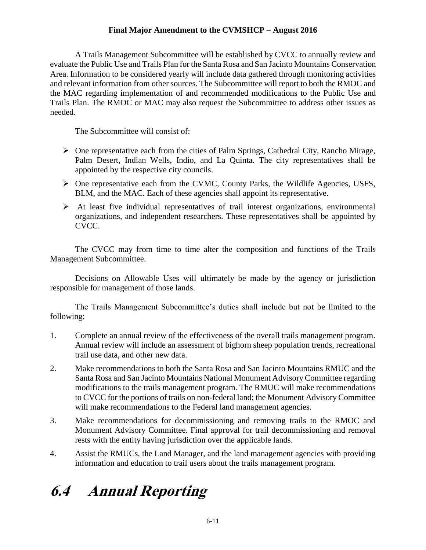A Trails Management Subcommittee will be established by CVCC to annually review and evaluate the Public Use and Trails Plan for the Santa Rosa and San Jacinto Mountains Conservation Area. Information to be considered yearly will include data gathered through monitoring activities and relevant information from other sources. The Subcommittee will report to both the RMOC and the MAC regarding implementation of and recommended modifications to the Public Use and Trails Plan. The RMOC or MAC may also request the Subcommittee to address other issues as needed.

The Subcommittee will consist of:

- $\triangleright$  One representative each from the cities of Palm Springs, Cathedral City, Rancho Mirage, Palm Desert, Indian Wells, Indio, and La Quinta. The city representatives shall be appointed by the respective city councils.
- One representative each from the CVMC, County Parks, the Wildlife Agencies, USFS, BLM, and the MAC. Each of these agencies shall appoint its representative.
- $\triangleright$  At least five individual representatives of trail interest organizations, environmental organizations, and independent researchers. These representatives shall be appointed by CVCC.

The CVCC may from time to time alter the composition and functions of the Trails Management Subcommittee.

Decisions on Allowable Uses will ultimately be made by the agency or jurisdiction responsible for management of those lands.

The Trails Management Subcommittee's duties shall include but not be limited to the following:

- 1. Complete an annual review of the effectiveness of the overall trails management program. Annual review will include an assessment of bighorn sheep population trends, recreational trail use data, and other new data.
- 2. Make recommendations to both the Santa Rosa and San Jacinto Mountains RMUC and the Santa Rosa and San Jacinto Mountains National Monument Advisory Committee regarding modifications to the trails management program. The RMUC will make recommendations to CVCC for the portions of trails on non-federal land; the Monument Advisory Committee will make recommendations to the Federal land management agencies.
- 3. Make recommendations for decommissioning and removing trails to the RMOC and Monument Advisory Committee. Final approval for trail decommissioning and removal rests with the entity having jurisdiction over the applicable lands.
- 4. Assist the RMUCs, the Land Manager, and the land management agencies with providing information and education to trail users about the trails management program.

# **6.4 Annual Reporting**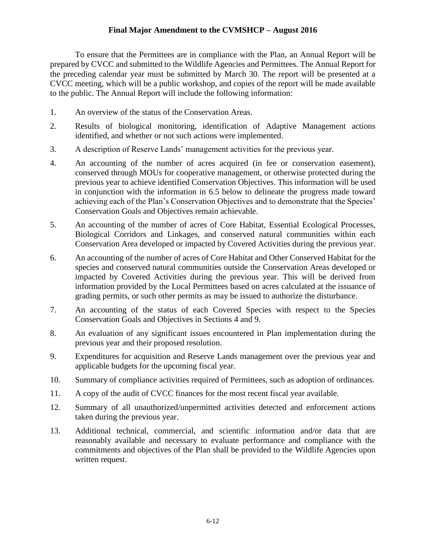To ensure that the Permittees are in compliance with the Plan, an Annual Report will be prepared by CVCC and submitted to the Wildlife Agencies and Permittees. The Annual Report for the preceding calendar year must be submitted by March 30. The report will be presented at a CVCC meeting, which will be a public workshop, and copies of the report will be made available to the public. The Annual Report will include the following information:

- 1. An overview of the status of the Conservation Areas.
- 2. Results of biological monitoring, identification of Adaptive Management actions identified, and whether or not such actions were implemented.
- 3. A description of Reserve Lands' management activities for the previous year.
- 4. An accounting of the number of acres acquired (in fee or conservation easement), conserved through MOUs for cooperative management, or otherwise protected during the previous year to achieve identified Conservation Objectives. This information will be used in conjunction with the information in 6.5 below to delineate the progress made toward achieving each of the Plan's Conservation Objectives and to demonstrate that the Species' Conservation Goals and Objectives remain achievable.
- 5. An accounting of the number of acres of Core Habitat, Essential Ecological Processes, Biological Corridors and Linkages, and conserved natural communities within each Conservation Area developed or impacted by Covered Activities during the previous year.
- 6. An accounting of the number of acres of Core Habitat and Other Conserved Habitat for the species and conserved natural communities outside the Conservation Areas developed or impacted by Covered Activities during the previous year. This will be derived from information provided by the Local Permittees based on acres calculated at the issuance of grading permits, or such other permits as may be issued to authorize the disturbance.
- 7. An accounting of the status of each Covered Species with respect to the Species Conservation Goals and Objectives in Sections 4 and 9.
- 8. An evaluation of any significant issues encountered in Plan implementation during the previous year and their proposed resolution.
- 9. Expenditures for acquisition and Reserve Lands management over the previous year and applicable budgets for the upcoming fiscal year.
- 10. Summary of compliance activities required of Permittees, such as adoption of ordinances.
- 11. A copy of the audit of CVCC finances for the most recent fiscal year available.
- 12. Summary of all unauthorized/unpermitted activities detected and enforcement actions taken during the previous year.
- 13. Additional technical, commercial, and scientific information and/or data that are reasonably available and necessary to evaluate performance and compliance with the commitments and objectives of the Plan shall be provided to the Wildlife Agencies upon written request.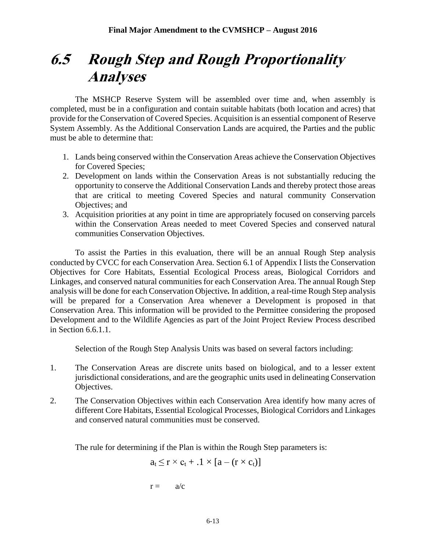## **6.5 Rough Step and Rough Proportionality Analyses**

The MSHCP Reserve System will be assembled over time and, when assembly is completed, must be in a configuration and contain suitable habitats (both location and acres) that provide for the Conservation of Covered Species. Acquisition is an essential component of Reserve System Assembly. As the Additional Conservation Lands are acquired, the Parties and the public must be able to determine that:

- 1. Lands being conserved within the Conservation Areas achieve the Conservation Objectives for Covered Species;
- 2. Development on lands within the Conservation Areas is not substantially reducing the opportunity to conserve the Additional Conservation Lands and thereby protect those areas that are critical to meeting Covered Species and natural community Conservation Objectives; and
- 3. Acquisition priorities at any point in time are appropriately focused on conserving parcels within the Conservation Areas needed to meet Covered Species and conserved natural communities Conservation Objectives.

To assist the Parties in this evaluation, there will be an annual Rough Step analysis conducted by CVCC for each Conservation Area. Section 6.1 of Appendix I lists the Conservation Objectives for Core Habitats, Essential Ecological Process areas, Biological Corridors and Linkages, and conserved natural communities for each Conservation Area. The annual Rough Step analysis will be done for each Conservation Objective*.* In addition, a real-time Rough Step analysis will be prepared for a Conservation Area whenever a Development is proposed in that Conservation Area. This information will be provided to the Permittee considering the proposed Development and to the Wildlife Agencies as part of the Joint Project Review Process described in Section 6.6.1.1.

Selection of the Rough Step Analysis Units was based on several factors including:

- 1. The Conservation Areas are discrete units based on biological, and to a lesser extent jurisdictional considerations, and are the geographic units used in delineating Conservation Objectives.
- 2. The Conservation Objectives within each Conservation Area identify how many acres of different Core Habitats, Essential Ecological Processes, Biological Corridors and Linkages and conserved natural communities must be conserved.

The rule for determining if the Plan is within the Rough Step parameters is:

$$
a_t \leq r \times c_t + .1 \times [a - (r \times c_t)]
$$

$$
r = \quad a/c
$$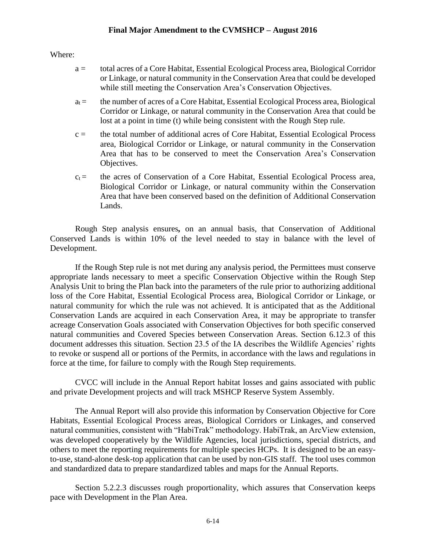Where:

- a = total acres of a Core Habitat, Essential Ecological Process area, Biological Corridor or Linkage, or natural community in the Conservation Area that could be developed while still meeting the Conservation Area's Conservation Objectives.
- $a_t =$  the number of acres of a Core Habitat, Essential Ecological Process area, Biological Corridor or Linkage, or natural community in the Conservation Area that could be lost at a point in time (t) while being consistent with the Rough Step rule.
- $c =$  the total number of additional acres of Core Habitat, Essential Ecological Process area, Biological Corridor or Linkage, or natural community in the Conservation Area that has to be conserved to meet the Conservation Area's Conservation Objectives.
- $c_t$  = the acres of Conservation of a Core Habitat, Essential Ecological Process area, Biological Corridor or Linkage, or natural community within the Conservation Area that have been conserved based on the definition of Additional Conservation Lands.

Rough Step analysis ensures*,* on an annual basis, that Conservation of Additional Conserved Lands is within 10% of the level needed to stay in balance with the level of Development.

If the Rough Step rule is not met during any analysis period, the Permittees must conserve appropriate lands necessary to meet a specific Conservation Objective within the Rough Step Analysis Unit to bring the Plan back into the parameters of the rule prior to authorizing additional loss of the Core Habitat, Essential Ecological Process area, Biological Corridor or Linkage, or natural community for which the rule was not achieved. It is anticipated that as the Additional Conservation Lands are acquired in each Conservation Area, it may be appropriate to transfer acreage Conservation Goals associated with Conservation Objectives for both specific conserved natural communities and Covered Species between Conservation Areas. Section 6.12.3 of this document addresses this situation. Section 23.5 of the IA describes the Wildlife Agencies' rights to revoke or suspend all or portions of the Permits, in accordance with the laws and regulations in force at the time, for failure to comply with the Rough Step requirements.

CVCC will include in the Annual Report habitat losses and gains associated with public and private Development projects and will track MSHCP Reserve System Assembly.

The Annual Report will also provide this information by Conservation Objective for Core Habitats, Essential Ecological Process areas, Biological Corridors or Linkages, and conserved natural communities, consistent with "HabiTrak" methodology. HabiTrak, an ArcView extension, was developed cooperatively by the Wildlife Agencies, local jurisdictions, special districts, and others to meet the reporting requirements for multiple species HCPs. It is designed to be an easyto-use, stand-alone desk-top application that can be used by non-GIS staff. The tool uses common and standardized data to prepare standardized tables and maps for the Annual Reports.

Section 5.2.2.3 discusses rough proportionality, which assures that Conservation keeps pace with Development in the Plan Area.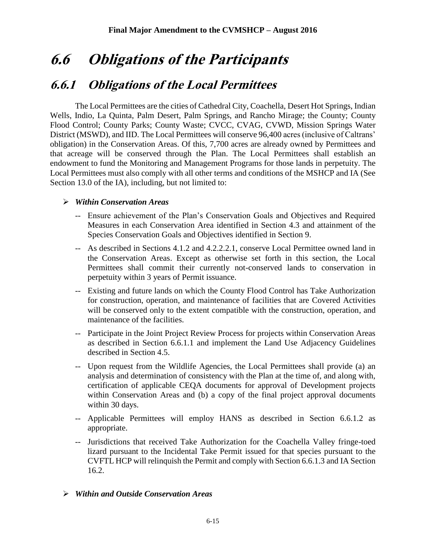## **6.6 Obligations of the Participants**

## **6.6.1 Obligations of the Local Permittees**

The Local Permittees are the cities of Cathedral City, Coachella, Desert Hot Springs, Indian Wells, Indio, La Quinta, Palm Desert, Palm Springs, and Rancho Mirage; the County; County Flood Control; County Parks; County Waste; CVCC, CVAG, CVWD, Mission Springs Water District (MSWD), and IID. The Local Permittees will conserve 96,400 acres (inclusive of Caltrans' obligation) in the Conservation Areas. Of this, 7,700 acres are already owned by Permittees and that acreage will be conserved through the Plan. The Local Permittees shall establish an endowment to fund the Monitoring and Management Programs for those lands in perpetuity. The Local Permittees must also comply with all other terms and conditions of the MSHCP and IA (See Section 13.0 of the IA), including, but not limited to:

#### *Within Conservation Areas*

- -- Ensure achievement of the Plan's Conservation Goals and Objectives and Required Measures in each Conservation Area identified in Section 4.3 and attainment of the Species Conservation Goals and Objectives identified in Section 9.
- -- As described in Sections 4.1.2 and 4.2.2.2.1, conserve Local Permittee owned land in the Conservation Areas. Except as otherwise set forth in this section, the Local Permittees shall commit their currently not-conserved lands to conservation in perpetuity within 3 years of Permit issuance.
- -- Existing and future lands on which the County Flood Control has Take Authorization for construction, operation, and maintenance of facilities that are Covered Activities will be conserved only to the extent compatible with the construction, operation, and maintenance of the facilities.
- -- Participate in the Joint Project Review Process for projects within Conservation Areas as described in Section 6.6.1.1 and implement the Land Use Adjacency Guidelines described in Section 4.5.
- -- Upon request from the Wildlife Agencies, the Local Permittees shall provide (a) an analysis and determination of consistency with the Plan at the time of, and along with, certification of applicable CEQA documents for approval of Development projects within Conservation Areas and (b) a copy of the final project approval documents within 30 days.
- -- Applicable Permittees will employ HANS as described in Section 6.6.1.2 as appropriate.
- -- Jurisdictions that received Take Authorization for the Coachella Valley fringe-toed lizard pursuant to the Incidental Take Permit issued for that species pursuant to the CVFTL HCP will relinquish the Permit and comply with Section 6.6.1.3 and IA Section 16.2.

#### *Within and Outside Conservation Areas*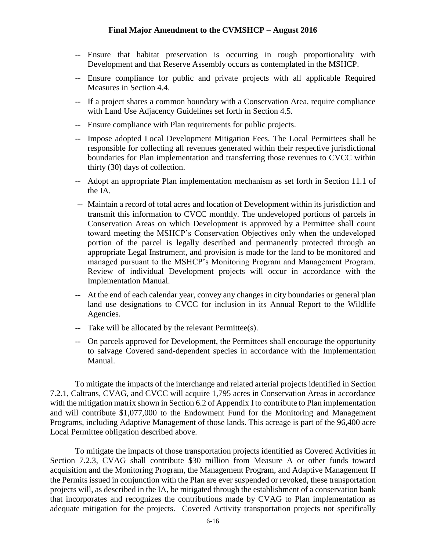- -- Ensure that habitat preservation is occurring in rough proportionality with Development and that Reserve Assembly occurs as contemplated in the MSHCP.
- -- Ensure compliance for public and private projects with all applicable Required Measures in Section 4.4.
- -- If a project shares a common boundary with a Conservation Area, require compliance with Land Use Adjacency Guidelines set forth in Section 4.5.
- -- Ensure compliance with Plan requirements for public projects.
- -- Impose adopted Local Development Mitigation Fees. The Local Permittees shall be responsible for collecting all revenues generated within their respective jurisdictional boundaries for Plan implementation and transferring those revenues to CVCC within thirty (30) days of collection.
- -- Adopt an appropriate Plan implementation mechanism as set forth in Section 11.1 of the IA.
- -- Maintain a record of total acres and location of Development within its jurisdiction and transmit this information to CVCC monthly. The undeveloped portions of parcels in Conservation Areas on which Development is approved by a Permittee shall count toward meeting the MSHCP's Conservation Objectives only when the undeveloped portion of the parcel is legally described and permanently protected through an appropriate Legal Instrument, and provision is made for the land to be monitored and managed pursuant to the MSHCP's Monitoring Program and Management Program. Review of individual Development projects will occur in accordance with the Implementation Manual.
- -- At the end of each calendar year, convey any changes in city boundaries or general plan land use designations to CVCC for inclusion in its Annual Report to the Wildlife Agencies.
- -- Take will be allocated by the relevant Permittee(s).
- -- On parcels approved for Development, the Permittees shall encourage the opportunity to salvage Covered sand-dependent species in accordance with the Implementation Manual.

To mitigate the impacts of the interchange and related arterial projects identified in Section 7.2.1, Caltrans, CVAG, and CVCC will acquire 1,795 acres in Conservation Areas in accordance with the mitigation matrix shown in Section 6.2 of Appendix I to contribute to Plan implementation and will contribute \$1,077,000 to the Endowment Fund for the Monitoring and Management Programs, including Adaptive Management of those lands. This acreage is part of the 96,400 acre Local Permittee obligation described above.

To mitigate the impacts of those transportation projects identified as Covered Activities in Section 7.2.3, CVAG shall contribute \$30 million from Measure A or other funds toward acquisition and the Monitoring Program, the Management Program, and Adaptive Management If the Permits issued in conjunction with the Plan are ever suspended or revoked, these transportation projects will, as described in the IA, be mitigated through the establishment of a conservation bank that incorporates and recognizes the contributions made by CVAG to Plan implementation as adequate mitigation for the projects. Covered Activity transportation projects not specifically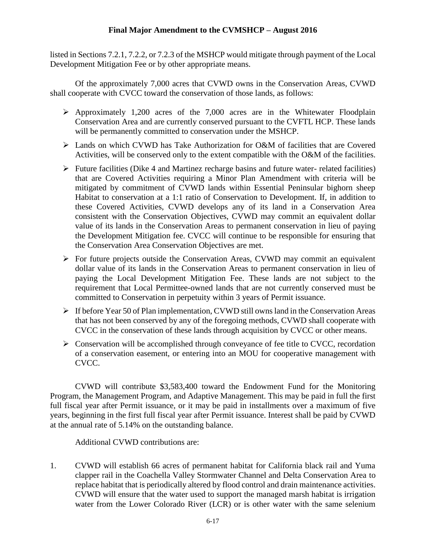listed in Sections 7.2.1, 7.2.2, or 7.2.3 of the MSHCP would mitigate through payment of the Local Development Mitigation Fee or by other appropriate means.

Of the approximately 7,000 acres that CVWD owns in the Conservation Areas, CVWD shall cooperate with CVCC toward the conservation of those lands, as follows:

- $\triangleright$  Approximately 1,200 acres of the 7,000 acres are in the Whitewater Floodplain Conservation Area and are currently conserved pursuant to the CVFTL HCP. These lands will be permanently committed to conservation under the MSHCP.
- Lands on which CVWD has Take Authorization for O&M of facilities that are Covered Activities, will be conserved only to the extent compatible with the O&M of the facilities.
- $\triangleright$  Future facilities (Dike 4 and Martinez recharge basins and future water- related facilities) that are Covered Activities requiring a Minor Plan Amendment with criteria will be mitigated by commitment of CVWD lands within Essential Peninsular bighorn sheep Habitat to conservation at a 1:1 ratio of Conservation to Development. If, in addition to these Covered Activities, CVWD develops any of its land in a Conservation Area consistent with the Conservation Objectives, CVWD may commit an equivalent dollar value of its lands in the Conservation Areas to permanent conservation in lieu of paying the Development Mitigation fee. CVCC will continue to be responsible for ensuring that the Conservation Area Conservation Objectives are met.
- $\triangleright$  For future projects outside the Conservation Areas, CVWD may commit an equivalent dollar value of its lands in the Conservation Areas to permanent conservation in lieu of paying the Local Development Mitigation Fee. These lands are not subject to the requirement that Local Permittee-owned lands that are not currently conserved must be committed to Conservation in perpetuity within 3 years of Permit issuance.
- $\triangleright$  If before Year 50 of Plan implementation, CVWD still owns land in the Conservation Areas that has not been conserved by any of the foregoing methods, CVWD shall cooperate with CVCC in the conservation of these lands through acquisition by CVCC or other means.
- $\triangleright$  Conservation will be accomplished through conveyance of fee title to CVCC, recordation of a conservation easement, or entering into an MOU for cooperative management with CVCC.

CVWD will contribute \$3,583,400 toward the Endowment Fund for the Monitoring Program, the Management Program, and Adaptive Management. This may be paid in full the first full fiscal year after Permit issuance, or it may be paid in installments over a maximum of five years, beginning in the first full fiscal year after Permit issuance. Interest shall be paid by CVWD at the annual rate of 5.14% on the outstanding balance.

Additional CVWD contributions are:

1. CVWD will establish 66 acres of permanent habitat for California black rail and Yuma clapper rail in the Coachella Valley Stormwater Channel and Delta Conservation Area to replace habitat that is periodically altered by flood control and drain maintenance activities. CVWD will ensure that the water used to support the managed marsh habitat is irrigation water from the Lower Colorado River (LCR) or is other water with the same selenium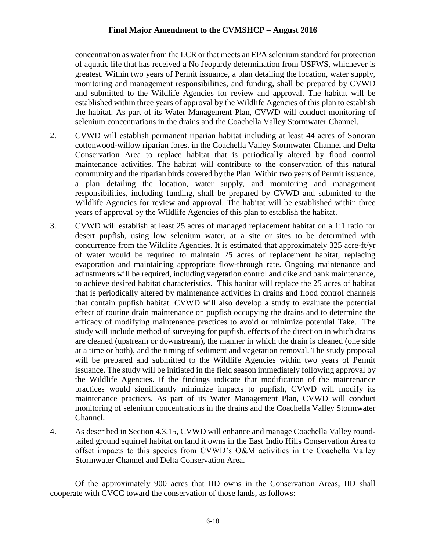concentration as water from the LCR or that meets an EPA selenium standard for protection of aquatic life that has received a No Jeopardy determination from USFWS, whichever is greatest. Within two years of Permit issuance, a plan detailing the location, water supply, monitoring and management responsibilities, and funding, shall be prepared by CVWD and submitted to the Wildlife Agencies for review and approval. The habitat will be established within three years of approval by the Wildlife Agencies of this plan to establish the habitat. As part of its Water Management Plan, CVWD will conduct monitoring of selenium concentrations in the drains and the Coachella Valley Stormwater Channel.

- 2. CVWD will establish permanent riparian habitat including at least 44 acres of Sonoran cottonwood-willow riparian forest in the Coachella Valley Stormwater Channel and Delta Conservation Area to replace habitat that is periodically altered by flood control maintenance activities. The habitat will contribute to the conservation of this natural community and the riparian birds covered by the Plan. Within two years of Permit issuance, a plan detailing the location, water supply, and monitoring and management responsibilities, including funding, shall be prepared by CVWD and submitted to the Wildlife Agencies for review and approval. The habitat will be established within three years of approval by the Wildlife Agencies of this plan to establish the habitat.
- 3. CVWD will establish at least 25 acres of managed replacement habitat on a 1:1 ratio for desert pupfish, using low selenium water, at a site or sites to be determined with concurrence from the Wildlife Agencies. It is estimated that approximately 325 acre-ft/yr of water would be required to maintain 25 acres of replacement habitat, replacing evaporation and maintaining appropriate flow-through rate. Ongoing maintenance and adjustments will be required, including vegetation control and dike and bank maintenance, to achieve desired habitat characteristics. This habitat will replace the 25 acres of habitat that is periodically altered by maintenance activities in drains and flood control channels that contain pupfish habitat. CVWD will also develop a study to evaluate the potential effect of routine drain maintenance on pupfish occupying the drains and to determine the efficacy of modifying maintenance practices to avoid or minimize potential Take. The study will include method of surveying for pupfish, effects of the direction in which drains are cleaned (upstream or downstream), the manner in which the drain is cleaned (one side at a time or both), and the timing of sediment and vegetation removal. The study proposal will be prepared and submitted to the Wildlife Agencies within two years of Permit issuance. The study will be initiated in the field season immediately following approval by the Wildlife Agencies. If the findings indicate that modification of the maintenance practices would significantly minimize impacts to pupfish, CVWD will modify its maintenance practices. As part of its Water Management Plan, CVWD will conduct monitoring of selenium concentrations in the drains and the Coachella Valley Stormwater Channel.
- 4. As described in Section 4.3.15, CVWD will enhance and manage Coachella Valley roundtailed ground squirrel habitat on land it owns in the East Indio Hills Conservation Area to offset impacts to this species from CVWD's O&M activities in the Coachella Valley Stormwater Channel and Delta Conservation Area.

Of the approximately 900 acres that IID owns in the Conservation Areas, IID shall cooperate with CVCC toward the conservation of those lands, as follows: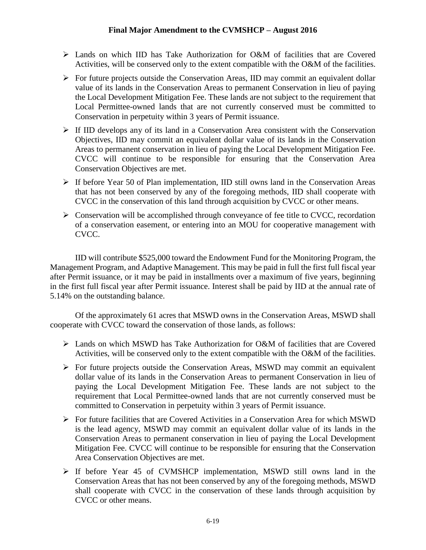- $\geq$  Lands on which IID has Take Authorization for O&M of facilities that are Covered Activities, will be conserved only to the extent compatible with the O&M of the facilities.
- $\triangleright$  For future projects outside the Conservation Areas, IID may commit an equivalent dollar value of its lands in the Conservation Areas to permanent Conservation in lieu of paying the Local Development Mitigation Fee. These lands are not subject to the requirement that Local Permittee-owned lands that are not currently conserved must be committed to Conservation in perpetuity within 3 years of Permit issuance.
- $\triangleright$  If IID develops any of its land in a Conservation Area consistent with the Conservation Objectives, IID may commit an equivalent dollar value of its lands in the Conservation Areas to permanent conservation in lieu of paying the Local Development Mitigation Fee. CVCC will continue to be responsible for ensuring that the Conservation Area Conservation Objectives are met.
- $\triangleright$  If before Year 50 of Plan implementation, IID still owns land in the Conservation Areas that has not been conserved by any of the foregoing methods, IID shall cooperate with CVCC in the conservation of this land through acquisition by CVCC or other means.
- $\triangleright$  Conservation will be accomplished through conveyance of fee title to CVCC, recordation of a conservation easement, or entering into an MOU for cooperative management with CVCC.

IID will contribute \$525,000 toward the Endowment Fund for the Monitoring Program, the Management Program, and Adaptive Management. This may be paid in full the first full fiscal year after Permit issuance, or it may be paid in installments over a maximum of five years, beginning in the first full fiscal year after Permit issuance. Interest shall be paid by IID at the annual rate of 5.14% on the outstanding balance.

Of the approximately 61 acres that MSWD owns in the Conservation Areas, MSWD shall cooperate with CVCC toward the conservation of those lands, as follows:

- Lands on which MSWD has Take Authorization for O&M of facilities that are Covered Activities, will be conserved only to the extent compatible with the O&M of the facilities.
- For future projects outside the Conservation Areas, MSWD may commit an equivalent dollar value of its lands in the Conservation Areas to permanent Conservation in lieu of paying the Local Development Mitigation Fee. These lands are not subject to the requirement that Local Permittee-owned lands that are not currently conserved must be committed to Conservation in perpetuity within 3 years of Permit issuance.
- $\triangleright$  For future facilities that are Covered Activities in a Conservation Area for which MSWD is the lead agency, MSWD may commit an equivalent dollar value of its lands in the Conservation Areas to permanent conservation in lieu of paying the Local Development Mitigation Fee. CVCC will continue to be responsible for ensuring that the Conservation Area Conservation Objectives are met.
- $\triangleright$  If before Year 45 of CVMSHCP implementation, MSWD still owns land in the Conservation Areas that has not been conserved by any of the foregoing methods, MSWD shall cooperate with CVCC in the conservation of these lands through acquisition by CVCC or other means.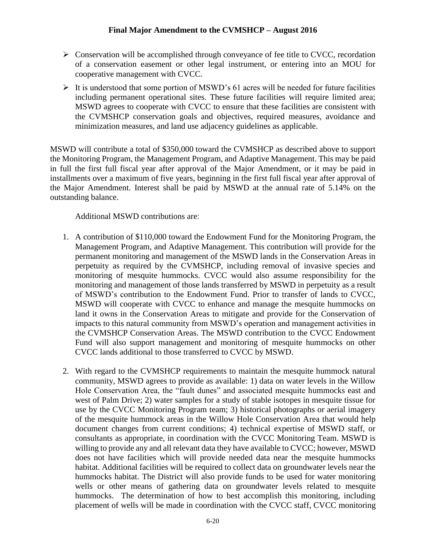- $\triangleright$  Conservation will be accomplished through conveyance of fee title to CVCC, recordation of a conservation easement or other legal instrument, or entering into an MOU for cooperative management with CVCC.
- $\triangleright$  It is understood that some portion of MSWD's 61 acres will be needed for future facilities including permanent operational sites. These future facilities will require limited area; MSWD agrees to cooperate with CVCC to ensure that these facilities are consistent with the CVMSHCP conservation goals and objectives, required measures, avoidance and minimization measures, and land use adjacency guidelines as applicable.

MSWD will contribute a total of \$350,000 toward the CVMSHCP as described above to support the Monitoring Program, the Management Program, and Adaptive Management. This may be paid in full the first full fiscal year after approval of the Major Amendment, or it may be paid in installments over a maximum of five years, beginning in the first full fiscal year after approval of the Major Amendment. Interest shall be paid by MSWD at the annual rate of 5.14% on the outstanding balance.

Additional MSWD contributions are:

- 1. A contribution of \$110,000 toward the Endowment Fund for the Monitoring Program, the Management Program, and Adaptive Management. This contribution will provide for the permanent monitoring and management of the MSWD lands in the Conservation Areas in perpetuity as required by the CVMSHCP, including removal of invasive species and monitoring of mesquite hummocks. CVCC would also assume responsibility for the monitoring and management of those lands transferred by MSWD in perpetuity as a result of MSWD's contribution to the Endowment Fund. Prior to transfer of lands to CVCC, MSWD will cooperate with CVCC to enhance and manage the mesquite hummocks on land it owns in the Conservation Areas to mitigate and provide for the Conservation of impacts to this natural community from MSWD's operation and management activities in the CVMSHCP Conservation Areas. The MSWD contribution to the CVCC Endowment Fund will also support management and monitoring of mesquite hummocks on other CVCC lands additional to those transferred to CVCC by MSWD.
- 2. With regard to the CVMSHCP requirements to maintain the mesquite hummock natural community, MSWD agrees to provide as available: 1) data on water levels in the Willow Hole Conservation Area, the "fault dunes" and associated mesquite hummocks east and west of Palm Drive; 2) water samples for a study of stable isotopes in mesquite tissue for use by the CVCC Monitoring Program team; 3) historical photographs or aerial imagery of the mesquite hummock areas in the Willow Hole Conservation Area that would help document changes from current conditions; 4) technical expertise of MSWD staff, or consultants as appropriate, in coordination with the CVCC Monitoring Team. MSWD is willing to provide any and all relevant data they have available to CVCC; however, MSWD does not have facilities which will provide needed data near the mesquite hummocks habitat. Additional facilities will be required to collect data on groundwater levels near the hummocks habitat. The District will also provide funds to be used for water monitoring wells or other means of gathering data on groundwater levels related to mesquite hummocks. The determination of how to best accomplish this monitoring, including placement of wells will be made in coordination with the CVCC staff, CVCC monitoring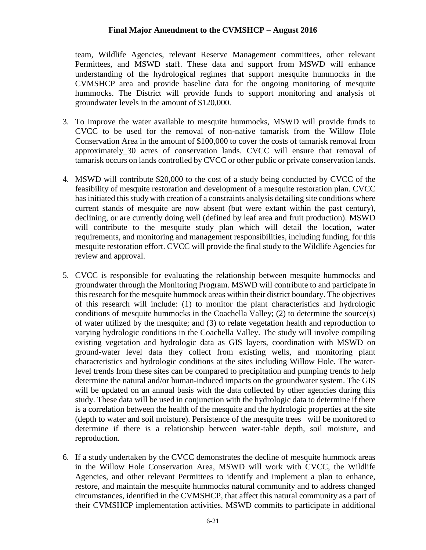team, Wildlife Agencies, relevant Reserve Management committees, other relevant Permittees, and MSWD staff. These data and support from MSWD will enhance understanding of the hydrological regimes that support mesquite hummocks in the CVMSHCP area and provide baseline data for the ongoing monitoring of mesquite hummocks. The District will provide funds to support monitoring and analysis of groundwater levels in the amount of \$120,000.

- 3. To improve the water available to mesquite hummocks, MSWD will provide funds to CVCC to be used for the removal of non-native tamarisk from the Willow Hole Conservation Area in the amount of \$100,000 to cover the costs of tamarisk removal from approximately\_30 acres of conservation lands. CVCC will ensure that removal of tamarisk occurs on lands controlled by CVCC or other public or private conservation lands.
- 4. MSWD will contribute \$20,000 to the cost of a study being conducted by CVCC of the feasibility of mesquite restoration and development of a mesquite restoration plan. CVCC has initiated this study with creation of a constraints analysis detailing site conditions where current stands of mesquite are now absent (but were extant within the past century), declining, or are currently doing well (defined by leaf area and fruit production). MSWD will contribute to the mesquite study plan which will detail the location, water requirements, and monitoring and management responsibilities, including funding, for this mesquite restoration effort. CVCC will provide the final study to the Wildlife Agencies for review and approval.
- 5. CVCC is responsible for evaluating the relationship between mesquite hummocks and groundwater through the Monitoring Program. MSWD will contribute to and participate in this research for the mesquite hummock areas within their district boundary. The objectives of this research will include: (1) to monitor the plant characteristics and hydrologic conditions of mesquite hummocks in the Coachella Valley; (2) to determine the source(s) of water utilized by the mesquite; and (3) to relate vegetation health and reproduction to varying hydrologic conditions in the Coachella Valley. The study will involve compiling existing vegetation and hydrologic data as GIS layers, coordination with MSWD on ground-water level data they collect from existing wells, and monitoring plant characteristics and hydrologic conditions at the sites including Willow Hole. The waterlevel trends from these sites can be compared to precipitation and pumping trends to help determine the natural and/or human-induced impacts on the groundwater system. The GIS will be updated on an annual basis with the data collected by other agencies during this study. These data will be used in conjunction with the hydrologic data to determine if there is a correlation between the health of the mesquite and the hydrologic properties at the site (depth to water and soil moisture). Persistence of the mesquite trees will be monitored to determine if there is a relationship between water-table depth, soil moisture, and reproduction.
- 6. If a study undertaken by the CVCC demonstrates the decline of mesquite hummock areas in the Willow Hole Conservation Area, MSWD will work with CVCC, the Wildlife Agencies, and other relevant Permittees to identify and implement a plan to enhance, restore, and maintain the mesquite hummocks natural community and to address changed circumstances, identified in the CVMSHCP, that affect this natural community as a part of their CVMSHCP implementation activities. MSWD commits to participate in additional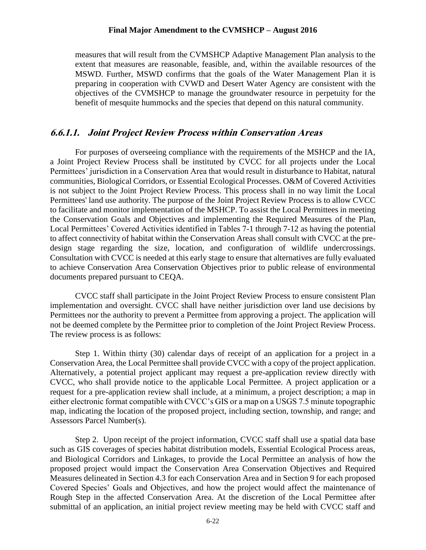measures that will result from the CVMSHCP Adaptive Management Plan analysis to the extent that measures are reasonable, feasible, and, within the available resources of the MSWD. Further, MSWD confirms that the goals of the Water Management Plan it is preparing in cooperation with CVWD and Desert Water Agency are consistent with the objectives of the CVMSHCP to manage the groundwater resource in perpetuity for the benefit of mesquite hummocks and the species that depend on this natural community.

#### **6.6.1.1. Joint Project Review Process within Conservation Areas**

For purposes of overseeing compliance with the requirements of the MSHCP and the IA, a Joint Project Review Process shall be instituted by CVCC for all projects under the Local Permittees' jurisdiction in a Conservation Area that would result in disturbance to Habitat, natural communities, Biological Corridors, or Essential Ecological Processes. O&M of Covered Activities is not subject to the Joint Project Review Process. This process shall in no way limit the Local Permittees' land use authority. The purpose of the Joint Project Review Process is to allow CVCC to facilitate and monitor implementation of the MSHCP. To assist the Local Permittees in meeting the Conservation Goals and Objectives and implementing the Required Measures of the Plan, Local Permittees' Covered Activities identified in Tables 7-1 through 7-12 as having the potential to affect connectivity of habitat within the Conservation Areas shall consult with CVCC at the predesign stage regarding the size, location, and configuration of wildlife undercrossings. Consultation with CVCC is needed at this early stage to ensure that alternatives are fully evaluated to achieve Conservation Area Conservation Objectives prior to public release of environmental documents prepared pursuant to CEQA.

CVCC staff shall participate in the Joint Project Review Process to ensure consistent Plan implementation and oversight. CVCC shall have neither jurisdiction over land use decisions by Permittees nor the authority to prevent a Permittee from approving a project. The application will not be deemed complete by the Permittee prior to completion of the Joint Project Review Process. The review process is as follows:

Step 1. Within thirty (30) calendar days of receipt of an application for a project in a Conservation Area, the Local Permittee shall provide CVCC with a copy of the project application. Alternatively, a potential project applicant may request a pre-application review directly with CVCC, who shall provide notice to the applicable Local Permittee. A project application or a request for a pre-application review shall include, at a minimum, a project description; a map in either electronic format compatible with CVCC's GIS or a map on a USGS 7.5 minute topographic map, indicating the location of the proposed project, including section, township, and range; and Assessors Parcel Number(s).

Step 2. Upon receipt of the project information, CVCC staff shall use a spatial data base such as GIS coverages of species habitat distribution models, Essential Ecological Process areas, and Biological Corridors and Linkages, to provide the Local Permittee an analysis of how the proposed project would impact the Conservation Area Conservation Objectives and Required Measures delineated in Section 4.3 for each Conservation Area and in Section 9 for each proposed Covered Species' Goals and Objectives, and how the project would affect the maintenance of Rough Step in the affected Conservation Area. At the discretion of the Local Permittee after submittal of an application, an initial project review meeting may be held with CVCC staff and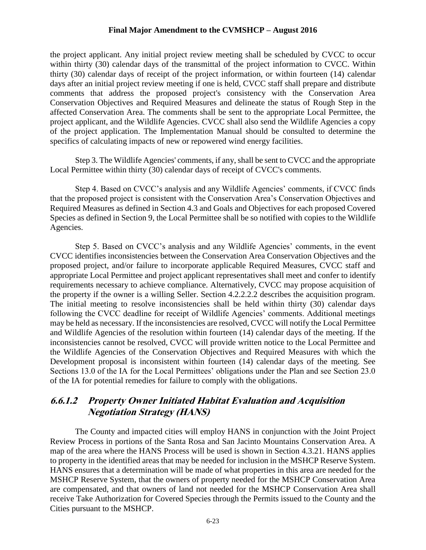the project applicant. Any initial project review meeting shall be scheduled by CVCC to occur within thirty (30) calendar days of the transmittal of the project information to CVCC. Within thirty (30) calendar days of receipt of the project information, or within fourteen (14) calendar days after an initial project review meeting if one is held, CVCC staff shall prepare and distribute comments that address the proposed project's consistency with the Conservation Area Conservation Objectives and Required Measures and delineate the status of Rough Step in the affected Conservation Area. The comments shall be sent to the appropriate Local Permittee, the project applicant, and the Wildlife Agencies. CVCC shall also send the Wildlife Agencies a copy of the project application. The Implementation Manual should be consulted to determine the specifics of calculating impacts of new or repowered wind energy facilities.

Step 3. The Wildlife Agencies' comments, if any, shall be sent to CVCC and the appropriate Local Permittee within thirty (30) calendar days of receipt of CVCC's comments.

Step 4. Based on CVCC's analysis and any Wildlife Agencies' comments, if CVCC finds that the proposed project is consistent with the Conservation Area's Conservation Objectives and Required Measures as defined in Section 4.3 and Goals and Objectives for each proposed Covered Species as defined in Section 9, the Local Permittee shall be so notified with copies to the Wildlife Agencies.

Step 5. Based on CVCC's analysis and any Wildlife Agencies' comments, in the event CVCC identifies inconsistencies between the Conservation Area Conservation Objectives and the proposed project, and/or failure to incorporate applicable Required Measures, CVCC staff and appropriate Local Permittee and project applicant representatives shall meet and confer to identify requirements necessary to achieve compliance. Alternatively, CVCC may propose acquisition of the property if the owner is a willing Seller. Section 4.2.2.2.2 describes the acquisition program. The initial meeting to resolve inconsistencies shall be held within thirty (30) calendar days following the CVCC deadline for receipt of Wildlife Agencies' comments. Additional meetings may be held as necessary. If the inconsistencies are resolved, CVCC will notify the Local Permittee and Wildlife Agencies of the resolution within fourteen (14) calendar days of the meeting. If the inconsistencies cannot be resolved, CVCC will provide written notice to the Local Permittee and the Wildlife Agencies of the Conservation Objectives and Required Measures with which the Development proposal is inconsistent within fourteen (14) calendar days of the meeting. See Sections 13.0 of the IA for the Local Permittees' obligations under the Plan and see Section 23.0 of the IA for potential remedies for failure to comply with the obligations.

#### **6.6.1.2 Property Owner Initiated Habitat Evaluation and Acquisition Negotiation Strategy (HANS)**

The County and impacted cities will employ HANS in conjunction with the Joint Project Review Process in portions of the Santa Rosa and San Jacinto Mountains Conservation Area. A map of the area where the HANS Process will be used is shown in Section 4.3.21. HANS applies to property in the identified areas that may be needed for inclusion in the MSHCP Reserve System. HANS ensures that a determination will be made of what properties in this area are needed for the MSHCP Reserve System, that the owners of property needed for the MSHCP Conservation Area are compensated, and that owners of land not needed for the MSHCP Conservation Area shall receive Take Authorization for Covered Species through the Permits issued to the County and the Cities pursuant to the MSHCP.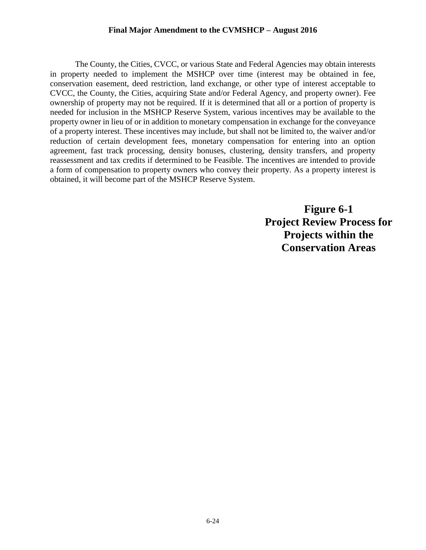The County, the Cities, CVCC, or various State and Federal Agencies may obtain interests in property needed to implement the MSHCP over time (interest may be obtained in fee, conservation easement, deed restriction, land exchange, or other type of interest acceptable to CVCC, the County, the Cities, acquiring State and/or Federal Agency, and property owner). Fee ownership of property may not be required. If it is determined that all or a portion of property is needed for inclusion in the MSHCP Reserve System, various incentives may be available to the property owner in lieu of or in addition to monetary compensation in exchange for the conveyance of a property interest. These incentives may include, but shall not be limited to, the waiver and/or reduction of certain development fees, monetary compensation for entering into an option agreement, fast track processing, density bonuses, clustering, density transfers, and property reassessment and tax credits if determined to be Feasible. The incentives are intended to provide a form of compensation to property owners who convey their property. As a property interest is obtained, it will become part of the MSHCP Reserve System.

> **Figure 6-1 Project Review Process for Projects within the Conservation Areas**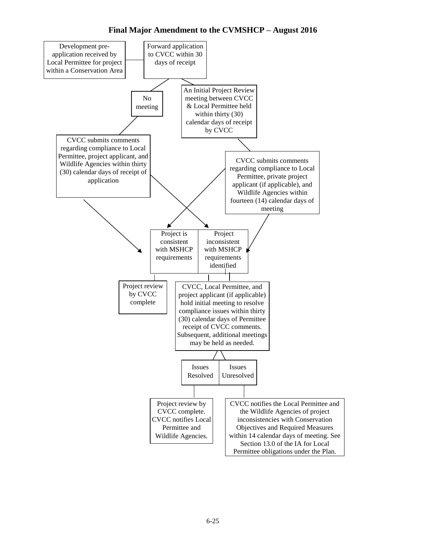**Final Major Amendment to the CVMSHCP – August 2016**

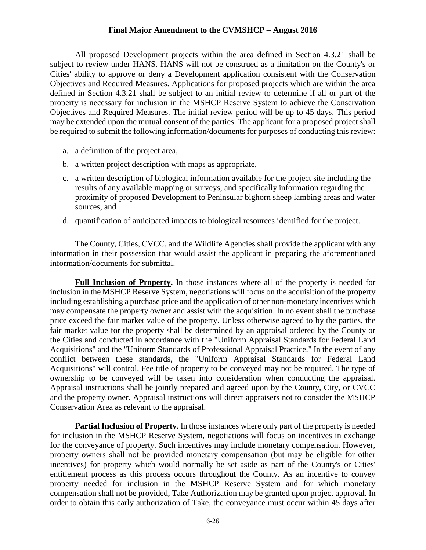All proposed Development projects within the area defined in Section 4.3.21 shall be subject to review under HANS. HANS will not be construed as a limitation on the County's or Cities' ability to approve or deny a Development application consistent with the Conservation Objectives and Required Measures. Applications for proposed projects which are within the area defined in Section 4.3.21 shall be subject to an initial review to determine if all or part of the property is necessary for inclusion in the MSHCP Reserve System to achieve the Conservation Objectives and Required Measures. The initial review period will be up to 45 days. This period may be extended upon the mutual consent of the parties. The applicant for a proposed project shall be required to submit the following information/documents for purposes of conducting this review:

- a. a definition of the project area,
- b. a written project description with maps as appropriate,
- c. a written description of biological information available for the project site including the results of any available mapping or surveys, and specifically information regarding the proximity of proposed Development to Peninsular bighorn sheep lambing areas and water sources, and
- d. quantification of anticipated impacts to biological resources identified for the project.

The County, Cities, CVCC, and the Wildlife Agencies shall provide the applicant with any information in their possession that would assist the applicant in preparing the aforementioned information/documents for submittal.

**Full Inclusion of Property.** In those instances where all of the property is needed for inclusion in the MSHCP Reserve System, negotiations will focus on the acquisition of the property including establishing a purchase price and the application of other non-monetary incentives which may compensate the property owner and assist with the acquisition. In no event shall the purchase price exceed the fair market value of the property. Unless otherwise agreed to by the parties, the fair market value for the property shall be determined by an appraisal ordered by the County or the Cities and conducted in accordance with the "Uniform Appraisal Standards for Federal Land Acquisitions" and the "Uniform Standards of Professional Appraisal Practice." In the event of any conflict between these standards, the "Uniform Appraisal Standards for Federal Land Acquisitions" will control. Fee title of property to be conveyed may not be required. The type of ownership to be conveyed will be taken into consideration when conducting the appraisal. Appraisal instructions shall be jointly prepared and agreed upon by the County, City, or CVCC and the property owner. Appraisal instructions will direct appraisers not to consider the MSHCP Conservation Area as relevant to the appraisal.

**Partial Inclusion of Property.** In those instances where only part of the property is needed for inclusion in the MSHCP Reserve System, negotiations will focus on incentives in exchange for the conveyance of property. Such incentives may include monetary compensation. However, property owners shall not be provided monetary compensation (but may be eligible for other incentives) for property which would normally be set aside as part of the County's or Cities' entitlement process as this process occurs throughout the County. As an incentive to convey property needed for inclusion in the MSHCP Reserve System and for which monetary compensation shall not be provided, Take Authorization may be granted upon project approval. In order to obtain this early authorization of Take, the conveyance must occur within 45 days after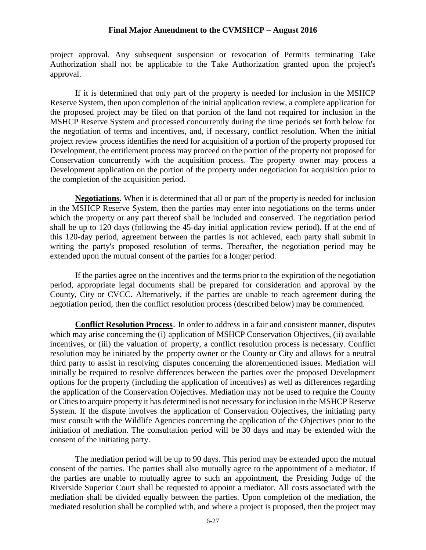project approval. Any subsequent suspension or revocation of Permits terminating Take Authorization shall not be applicable to the Take Authorization granted upon the project's approval.

If it is determined that only part of the property is needed for inclusion in the MSHCP Reserve System, then upon completion of the initial application review, a complete application for the proposed project may be filed on that portion of the land not required for inclusion in the MSHCP Reserve System and processed concurrently during the time periods set forth below for the negotiation of terms and incentives, and, if necessary, conflict resolution. When the initial project review process identifies the need for acquisition of a portion of the property proposed for Development, the entitlement process may proceed on the portion of the property not proposed for Conservation concurrently with the acquisition process. The property owner may process a Development application on the portion of the property under negotiation for acquisition prior to the completion of the acquisition period.

**Negotiations**. When it is determined that all or part of the property is needed for inclusion in the MSHCP Reserve System, then the parties may enter into negotiations on the terms under which the property or any part thereof shall be included and conserved. The negotiation period shall be up to 120 days (following the 45-day initial application review period). If at the end of this 120-day period, agreement between the parties is not achieved, each party shall submit in writing the party's proposed resolution of terms. Thereafter, the negotiation period may be extended upon the mutual consent of the parties for a longer period.

If the parties agree on the incentives and the terms prior to the expiration of the negotiation period, appropriate legal documents shall be prepared for consideration and approval by the County, City or CVCC. Alternatively, if the parties are unable to reach agreement during the negotiation period, then the conflict resolution process (described below) may be commenced.

**Conflict Resolution Process**. In order to address in a fair and consistent manner, disputes which may arise concerning the (i) application of MSHCP Conservation Objectives, (ii) available incentives, or (iii) the valuation of property, a conflict resolution process is necessary. Conflict resolution may be initiated by the property owner or the County or City and allows for a neutral third party to assist in resolving disputes concerning the aforementioned issues. Mediation will initially be required to resolve differences between the parties over the proposed Development options for the property (including the application of incentives) as well as differences regarding the application of the Conservation Objectives. Mediation may not be used to require the County or Cities to acquire property it has determined is not necessary for inclusion in the MSHCP Reserve System. If the dispute involves the application of Conservation Objectives, the initiating party must consult with the Wildlife Agencies concerning the application of the Objectives prior to the initiation of mediation. The consultation period will be 30 days and may be extended with the consent of the initiating party.

The mediation period will be up to 90 days. This period may be extended upon the mutual consent of the parties. The parties shall also mutually agree to the appointment of a mediator. If the parties are unable to mutually agree to such an appointment, the Presiding Judge of the Riverside Superior Court shall be requested to appoint a mediator. All costs associated with the mediation shall be divided equally between the parties. Upon completion of the mediation, the mediated resolution shall be complied with, and where a project is proposed, then the project may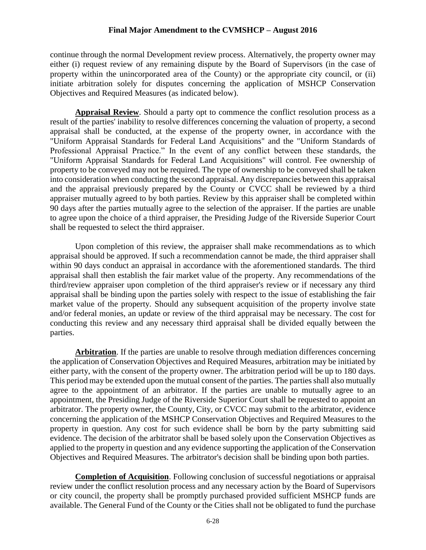continue through the normal Development review process. Alternatively, the property owner may either (i) request review of any remaining dispute by the Board of Supervisors (in the case of property within the unincorporated area of the County) or the appropriate city council, or (ii) initiate arbitration solely for disputes concerning the application of MSHCP Conservation Objectives and Required Measures (as indicated below).

**Appraisal Review**. Should a party opt to commence the conflict resolution process as a result of the parties' inability to resolve differences concerning the valuation of property, a second appraisal shall be conducted, at the expense of the property owner, in accordance with the "Uniform Appraisal Standards for Federal Land Acquisitions" and the "Uniform Standards of Professional Appraisal Practice." In the event of any conflict between these standards, the "Uniform Appraisal Standards for Federal Land Acquisitions" will control. Fee ownership of property to be conveyed may not be required. The type of ownership to be conveyed shall be taken into consideration when conducting the second appraisal. Any discrepancies between this appraisal and the appraisal previously prepared by the County or CVCC shall be reviewed by a third appraiser mutually agreed to by both parties. Review by this appraiser shall be completed within 90 days after the parties mutually agree to the selection of the appraiser. If the parties are unable to agree upon the choice of a third appraiser, the Presiding Judge of the Riverside Superior Court shall be requested to select the third appraiser.

Upon completion of this review, the appraiser shall make recommendations as to which appraisal should be approved. If such a recommendation cannot be made, the third appraiser shall within 90 days conduct an appraisal in accordance with the aforementioned standards. The third appraisal shall then establish the fair market value of the property. Any recommendations of the third/review appraiser upon completion of the third appraiser's review or if necessary any third appraisal shall be binding upon the parties solely with respect to the issue of establishing the fair market value of the property. Should any subsequent acquisition of the property involve state and/or federal monies, an update or review of the third appraisal may be necessary. The cost for conducting this review and any necessary third appraisal shall be divided equally between the parties.

**Arbitration**. If the parties are unable to resolve through mediation differences concerning the application of Conservation Objectives and Required Measures, arbitration may be initiated by either party, with the consent of the property owner. The arbitration period will be up to 180 days. This period may be extended upon the mutual consent of the parties. The parties shall also mutually agree to the appointment of an arbitrator. If the parties are unable to mutually agree to an appointment, the Presiding Judge of the Riverside Superior Court shall be requested to appoint an arbitrator. The property owner, the County, City, or CVCC may submit to the arbitrator, evidence concerning the application of the MSHCP Conservation Objectives and Required Measures to the property in question. Any cost for such evidence shall be born by the party submitting said evidence. The decision of the arbitrator shall be based solely upon the Conservation Objectives as applied to the property in question and any evidence supporting the application of the Conservation Objectives and Required Measures. The arbitrator's decision shall be binding upon both parties.

**Completion of Acquisition**. Following conclusion of successful negotiations or appraisal review under the conflict resolution process and any necessary action by the Board of Supervisors or city council, the property shall be promptly purchased provided sufficient MSHCP funds are available. The General Fund of the County or the Cities shall not be obligated to fund the purchase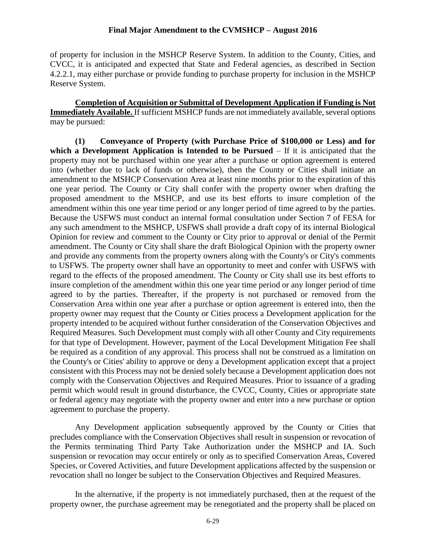of property for inclusion in the MSHCP Reserve System. In addition to the County, Cities, and CVCC, it is anticipated and expected that State and Federal agencies, as described in Section 4.2.2.1, may either purchase or provide funding to purchase property for inclusion in the MSHCP Reserve System.

**Completion of Acquisition or Submittal of Development Application if Funding is Not Immediately Available.** If sufficient MSHCP funds are not immediately available, several options may be pursued:

**(1) Conveyance of Property (with Purchase Price of \$100,000 or Less) and for which a Development Application is Intended to be Pursued** – If it is anticipated that the property may not be purchased within one year after a purchase or option agreement is entered into (whether due to lack of funds or otherwise), then the County or Cities shall initiate an amendment to the MSHCP Conservation Area at least nine months prior to the expiration of this one year period. The County or City shall confer with the property owner when drafting the proposed amendment to the MSHCP, and use its best efforts to insure completion of the amendment within this one year time period or any longer period of time agreed to by the parties. Because the USFWS must conduct an internal formal consultation under Section 7 of FESA for any such amendment to the MSHCP, USFWS shall provide a draft copy of its internal Biological Opinion for review and comment to the County or City prior to approval or denial of the Permit amendment. The County or City shall share the draft Biological Opinion with the property owner and provide any comments from the property owners along with the County's or City's comments to USFWS. The property owner shall have an opportunity to meet and confer with USFWS with regard to the effects of the proposed amendment. The County or City shall use its best efforts to insure completion of the amendment within this one year time period or any longer period of time agreed to by the parties. Thereafter, if the property is not purchased or removed from the Conservation Area within one year after a purchase or option agreement is entered into, then the property owner may request that the County or Cities process a Development application for the property intended to be acquired without further consideration of the Conservation Objectives and Required Measures. Such Development must comply with all other County and City requirements for that type of Development. However, payment of the Local Development Mitigation Fee shall be required as a condition of any approval. This process shall not be construed as a limitation on the County's or Cities' ability to approve or deny a Development application except that a project consistent with this Process may not be denied solely because a Development application does not comply with the Conservation Objectives and Required Measures. Prior to issuance of a grading permit which would result in ground disturbance, the CVCC, County, Cities or appropriate state or federal agency may negotiate with the property owner and enter into a new purchase or option agreement to purchase the property.

Any Development application subsequently approved by the County or Cities that precludes compliance with the Conservation Objectives shall result in suspension or revocation of the Permits terminating Third Party Take Authorization under the MSHCP and IA. Such suspension or revocation may occur entirely or only as to specified Conservation Areas, Covered Species, or Covered Activities, and future Development applications affected by the suspension or revocation shall no longer be subject to the Conservation Objectives and Required Measures.

In the alternative, if the property is not immediately purchased, then at the request of the property owner, the purchase agreement may be renegotiated and the property shall be placed on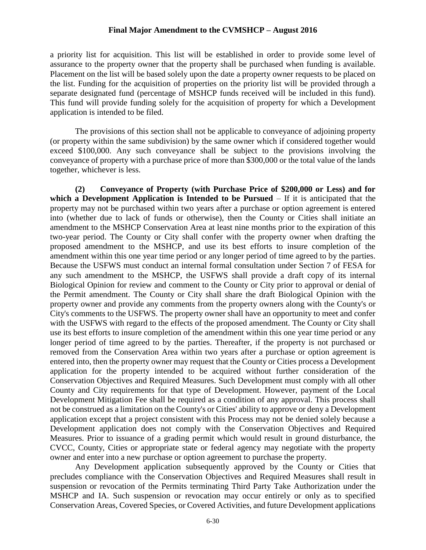a priority list for acquisition. This list will be established in order to provide some level of assurance to the property owner that the property shall be purchased when funding is available. Placement on the list will be based solely upon the date a property owner requests to be placed on the list. Funding for the acquisition of properties on the priority list will be provided through a separate designated fund (percentage of MSHCP funds received will be included in this fund). This fund will provide funding solely for the acquisition of property for which a Development application is intended to be filed.

The provisions of this section shall not be applicable to conveyance of adjoining property (or property within the same subdivision) by the same owner which if considered together would exceed \$100,000. Any such conveyance shall be subject to the provisions involving the conveyance of property with a purchase price of more than \$300,000 or the total value of the lands together, whichever is less.

**(2) Conveyance of Property (with Purchase Price of \$200,000 or Less) and for which a Development Application is Intended to be Pursued** – If it is anticipated that the property may not be purchased within two years after a purchase or option agreement is entered into (whether due to lack of funds or otherwise), then the County or Cities shall initiate an amendment to the MSHCP Conservation Area at least nine months prior to the expiration of this two-year period. The County or City shall confer with the property owner when drafting the proposed amendment to the MSHCP, and use its best efforts to insure completion of the amendment within this one year time period or any longer period of time agreed to by the parties. Because the USFWS must conduct an internal formal consultation under Section 7 of FESA for any such amendment to the MSHCP, the USFWS shall provide a draft copy of its internal Biological Opinion for review and comment to the County or City prior to approval or denial of the Permit amendment. The County or City shall share the draft Biological Opinion with the property owner and provide any comments from the property owners along with the County's or City's comments to the USFWS. The property owner shall have an opportunity to meet and confer with the USFWS with regard to the effects of the proposed amendment. The County or City shall use its best efforts to insure completion of the amendment within this one year time period or any longer period of time agreed to by the parties. Thereafter, if the property is not purchased or removed from the Conservation Area within two years after a purchase or option agreement is entered into, then the property owner may request that the County or Cities process a Development application for the property intended to be acquired without further consideration of the Conservation Objectives and Required Measures. Such Development must comply with all other County and City requirements for that type of Development. However, payment of the Local Development Mitigation Fee shall be required as a condition of any approval. This process shall not be construed as a limitation on the County's or Cities' ability to approve or deny a Development application except that a project consistent with this Process may not be denied solely because a Development application does not comply with the Conservation Objectives and Required Measures. Prior to issuance of a grading permit which would result in ground disturbance, the CVCC, County, Cities or appropriate state or federal agency may negotiate with the property owner and enter into a new purchase or option agreement to purchase the property.

Any Development application subsequently approved by the County or Cities that precludes compliance with the Conservation Objectives and Required Measures shall result in suspension or revocation of the Permits terminating Third Party Take Authorization under the MSHCP and IA. Such suspension or revocation may occur entirely or only as to specified Conservation Areas, Covered Species, or Covered Activities, and future Development applications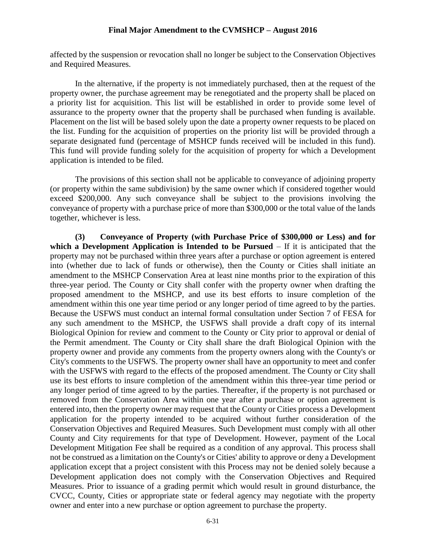affected by the suspension or revocation shall no longer be subject to the Conservation Objectives and Required Measures.

In the alternative, if the property is not immediately purchased, then at the request of the property owner, the purchase agreement may be renegotiated and the property shall be placed on a priority list for acquisition. This list will be established in order to provide some level of assurance to the property owner that the property shall be purchased when funding is available. Placement on the list will be based solely upon the date a property owner requests to be placed on the list. Funding for the acquisition of properties on the priority list will be provided through a separate designated fund (percentage of MSHCP funds received will be included in this fund). This fund will provide funding solely for the acquisition of property for which a Development application is intended to be filed.

The provisions of this section shall not be applicable to conveyance of adjoining property (or property within the same subdivision) by the same owner which if considered together would exceed \$200,000. Any such conveyance shall be subject to the provisions involving the conveyance of property with a purchase price of more than \$300,000 or the total value of the lands together, whichever is less.

**(3) Conveyance of Property (with Purchase Price of \$300,000 or Less) and for which a Development Application is Intended to be Pursued** – If it is anticipated that the property may not be purchased within three years after a purchase or option agreement is entered into (whether due to lack of funds or otherwise), then the County or Cities shall initiate an amendment to the MSHCP Conservation Area at least nine months prior to the expiration of this three-year period. The County or City shall confer with the property owner when drafting the proposed amendment to the MSHCP, and use its best efforts to insure completion of the amendment within this one year time period or any longer period of time agreed to by the parties. Because the USFWS must conduct an internal formal consultation under Section 7 of FESA for any such amendment to the MSHCP, the USFWS shall provide a draft copy of its internal Biological Opinion for review and comment to the County or City prior to approval or denial of the Permit amendment. The County or City shall share the draft Biological Opinion with the property owner and provide any comments from the property owners along with the County's or City's comments to the USFWS. The property owner shall have an opportunity to meet and confer with the USFWS with regard to the effects of the proposed amendment. The County or City shall use its best efforts to insure completion of the amendment within this three-year time period or any longer period of time agreed to by the parties. Thereafter, if the property is not purchased or removed from the Conservation Area within one year after a purchase or option agreement is entered into, then the property owner may request that the County or Cities process a Development application for the property intended to be acquired without further consideration of the Conservation Objectives and Required Measures. Such Development must comply with all other County and City requirements for that type of Development. However, payment of the Local Development Mitigation Fee shall be required as a condition of any approval. This process shall not be construed as a limitation on the County's or Cities' ability to approve or deny a Development application except that a project consistent with this Process may not be denied solely because a Development application does not comply with the Conservation Objectives and Required Measures. Prior to issuance of a grading permit which would result in ground disturbance, the CVCC, County, Cities or appropriate state or federal agency may negotiate with the property owner and enter into a new purchase or option agreement to purchase the property.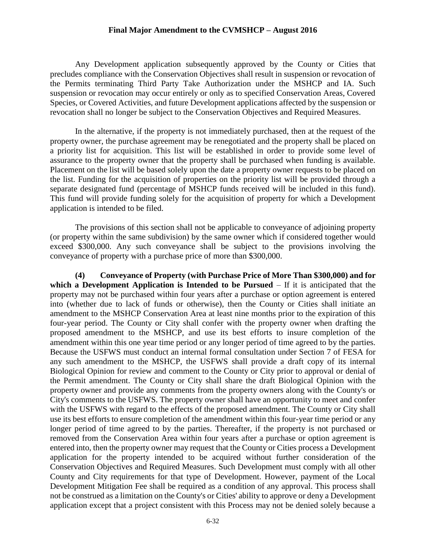Any Development application subsequently approved by the County or Cities that precludes compliance with the Conservation Objectives shall result in suspension or revocation of the Permits terminating Third Party Take Authorization under the MSHCP and IA. Such suspension or revocation may occur entirely or only as to specified Conservation Areas, Covered Species, or Covered Activities, and future Development applications affected by the suspension or revocation shall no longer be subject to the Conservation Objectives and Required Measures.

In the alternative, if the property is not immediately purchased, then at the request of the property owner, the purchase agreement may be renegotiated and the property shall be placed on a priority list for acquisition. This list will be established in order to provide some level of assurance to the property owner that the property shall be purchased when funding is available. Placement on the list will be based solely upon the date a property owner requests to be placed on the list. Funding for the acquisition of properties on the priority list will be provided through a separate designated fund (percentage of MSHCP funds received will be included in this fund). This fund will provide funding solely for the acquisition of property for which a Development application is intended to be filed.

The provisions of this section shall not be applicable to conveyance of adjoining property (or property within the same subdivision) by the same owner which if considered together would exceed \$300,000. Any such conveyance shall be subject to the provisions involving the conveyance of property with a purchase price of more than \$300,000.

**(4) Conveyance of Property (with Purchase Price of More Than \$300,000) and for which a Development Application is Intended to be Pursued** – If it is anticipated that the property may not be purchased within four years after a purchase or option agreement is entered into (whether due to lack of funds or otherwise), then the County or Cities shall initiate an amendment to the MSHCP Conservation Area at least nine months prior to the expiration of this four-year period. The County or City shall confer with the property owner when drafting the proposed amendment to the MSHCP, and use its best efforts to insure completion of the amendment within this one year time period or any longer period of time agreed to by the parties. Because the USFWS must conduct an internal formal consultation under Section 7 of FESA for any such amendment to the MSHCP, the USFWS shall provide a draft copy of its internal Biological Opinion for review and comment to the County or City prior to approval or denial of the Permit amendment. The County or City shall share the draft Biological Opinion with the property owner and provide any comments from the property owners along with the County's or City's comments to the USFWS. The property owner shall have an opportunity to meet and confer with the USFWS with regard to the effects of the proposed amendment. The County or City shall use its best efforts to ensure completion of the amendment within this four-year time period or any longer period of time agreed to by the parties. Thereafter, if the property is not purchased or removed from the Conservation Area within four years after a purchase or option agreement is entered into, then the property owner may request that the County or Cities process a Development application for the property intended to be acquired without further consideration of the Conservation Objectives and Required Measures. Such Development must comply with all other County and City requirements for that type of Development. However, payment of the Local Development Mitigation Fee shall be required as a condition of any approval. This process shall not be construed as a limitation on the County's or Cities' ability to approve or deny a Development application except that a project consistent with this Process may not be denied solely because a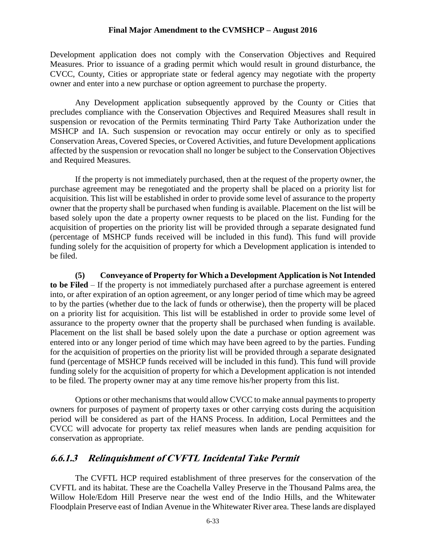Development application does not comply with the Conservation Objectives and Required Measures. Prior to issuance of a grading permit which would result in ground disturbance, the CVCC, County, Cities or appropriate state or federal agency may negotiate with the property owner and enter into a new purchase or option agreement to purchase the property.

Any Development application subsequently approved by the County or Cities that precludes compliance with the Conservation Objectives and Required Measures shall result in suspension or revocation of the Permits terminating Third Party Take Authorization under the MSHCP and IA. Such suspension or revocation may occur entirely or only as to specified Conservation Areas, Covered Species, or Covered Activities, and future Development applications affected by the suspension or revocation shall no longer be subject to the Conservation Objectives and Required Measures.

If the property is not immediately purchased, then at the request of the property owner, the purchase agreement may be renegotiated and the property shall be placed on a priority list for acquisition. This list will be established in order to provide some level of assurance to the property owner that the property shall be purchased when funding is available. Placement on the list will be based solely upon the date a property owner requests to be placed on the list. Funding for the acquisition of properties on the priority list will be provided through a separate designated fund (percentage of MSHCP funds received will be included in this fund). This fund will provide funding solely for the acquisition of property for which a Development application is intended to be filed.

**(5) Conveyance of Property for Which a Development Application is Not Intended to be Filed** – If the property is not immediately purchased after a purchase agreement is entered into, or after expiration of an option agreement, or any longer period of time which may be agreed to by the parties (whether due to the lack of funds or otherwise), then the property will be placed on a priority list for acquisition. This list will be established in order to provide some level of assurance to the property owner that the property shall be purchased when funding is available. Placement on the list shall be based solely upon the date a purchase or option agreement was entered into or any longer period of time which may have been agreed to by the parties. Funding for the acquisition of properties on the priority list will be provided through a separate designated fund (percentage of MSHCP funds received will be included in this fund). This fund will provide funding solely for the acquisition of property for which a Development application is not intended to be filed. The property owner may at any time remove his/her property from this list.

Options or other mechanisms that would allow CVCC to make annual payments to property owners for purposes of payment of property taxes or other carrying costs during the acquisition period will be considered as part of the HANS Process. In addition, Local Permittees and the CVCC will advocate for property tax relief measures when lands are pending acquisition for conservation as appropriate.

#### **6.6.1.3 Relinquishment of CVFTL Incidental Take Permit**

The CVFTL HCP required establishment of three preserves for the conservation of the CVFTL and its habitat. These are the Coachella Valley Preserve in the Thousand Palms area, the Willow Hole/Edom Hill Preserve near the west end of the Indio Hills, and the Whitewater Floodplain Preserve east of Indian Avenue in the Whitewater River area. These lands are displayed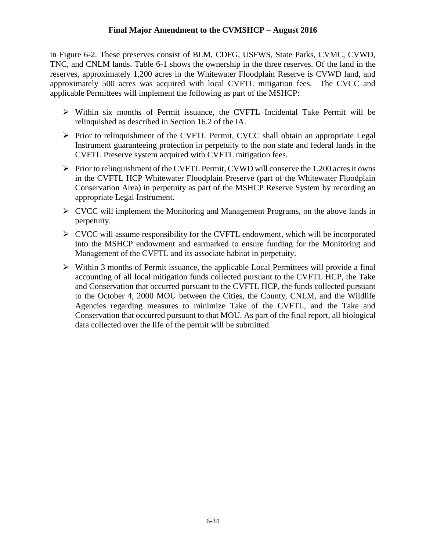in Figure 6-2. These preserves consist of BLM, CDFG, USFWS, State Parks, CVMC, CVWD, TNC, and CNLM lands. Table 6-1 shows the ownership in the three reserves. Of the land in the reserves, approximately 1,200 acres in the Whitewater Floodplain Reserve is CVWD land, and approximately 500 acres was acquired with local CVFTL mitigation fees. The CVCC and applicable Permittees will implement the following as part of the MSHCP:

- $\triangleright$  Within six months of Permit issuance, the CVFTL Incidental Take Permit will be relinquished as described in Section 16.2 of the IA.
- Prior to relinquishment of the CVFTL Permit, CVCC shall obtain an appropriate Legal Instrument guaranteeing protection in perpetuity to the non state and federal lands in the CVFTL Preserve system acquired with CVFTL mitigation fees.
- $\triangleright$  Prior to relinquishment of the CVFTL Permit, CVWD will conserve the 1,200 acres it owns in the CVFTL HCP Whitewater Floodplain Preserve (part of the Whitewater Floodplain Conservation Area) in perpetuity as part of the MSHCP Reserve System by recording an appropriate Legal Instrument.
- CVCC will implement the Monitoring and Management Programs, on the above lands in perpetuity.
- $\triangleright$  CVCC will assume responsibility for the CVFTL endowment, which will be incorporated into the MSHCP endowment and earmarked to ensure funding for the Monitoring and Management of the CVFTL and its associate habitat in perpetuity.
- $\triangleright$  Within 3 months of Permit issuance, the applicable Local Permittees will provide a final accounting of all local mitigation funds collected pursuant to the CVFTL HCP, the Take and Conservation that occurred pursuant to the CVFTL HCP, the funds collected pursuant to the October 4, 2000 MOU between the Cities, the County, CNLM, and the Wildlife Agencies regarding measures to minimize Take of the CVFTL, and the Take and Conservation that occurred pursuant to that MOU. As part of the final report, all biological data collected over the life of the permit will be submitted.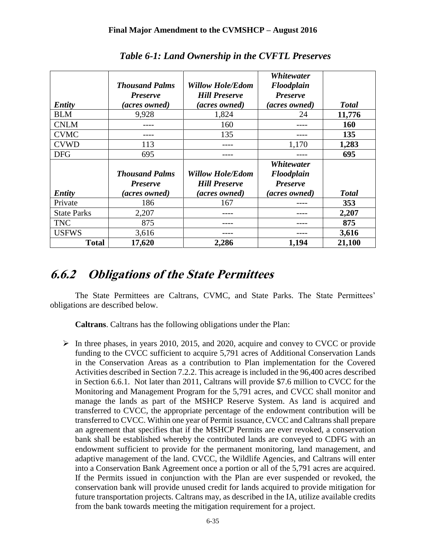|                    | <b>Thousand Palms</b><br><b>Preserve</b> | <b>Willow Hole/Edom</b><br><b>Hill Preserve</b> | Whitewater<br>Floodplain<br><b>Preserve</b> |              |
|--------------------|------------------------------------------|-------------------------------------------------|---------------------------------------------|--------------|
| <b>Entity</b>      | (acres owned)                            | <i>(acres owned)</i>                            | <i>(acres owned)</i>                        | <b>Total</b> |
| <b>BLM</b>         | 9,928                                    | 1,824                                           | 24                                          | 11,776       |
| <b>CNLM</b>        |                                          | 160                                             |                                             | 160          |
| <b>CVMC</b>        |                                          | 135                                             |                                             | 135          |
| <b>CVWD</b>        | 113                                      |                                                 | 1,170                                       | 1,283        |
| <b>DFG</b>         | 695                                      |                                                 |                                             | 695          |
|                    |                                          |                                                 | <b>Whitewater</b>                           |              |
|                    | <b>Thousand Palms</b>                    | <b>Willow Hole/Edom</b>                         | Floodplain                                  |              |
|                    | <b>Preserve</b>                          | <b>Hill Preserve</b>                            | <b>Preserve</b>                             |              |
| <b>Entity</b>      | <i>(acres owned)</i>                     | <i>(acres owned)</i>                            | (acres owned)                               | <b>Total</b> |
| Private            | 186                                      | 167                                             |                                             | 353          |
| <b>State Parks</b> | 2,207                                    |                                                 |                                             | 2,207        |
| <b>TNC</b>         | 875                                      |                                                 |                                             | 875          |
| <b>USFWS</b>       | 3,616                                    |                                                 |                                             | 3,616        |
| <b>Total</b>       | 17,620                                   | 2,286                                           | 1,194                                       | 21,100       |

*Table 6-1: Land Ownership in the CVFTL Preserves*

## **6.6.2 Obligations of the State Permittees**

The State Permittees are Caltrans, CVMC, and State Parks. The State Permittees' obligations are described below.

**Caltrans**. Caltrans has the following obligations under the Plan:

 $\triangleright$  In three phases, in years 2010, 2015, and 2020, acquire and convey to CVCC or provide funding to the CVCC sufficient to acquire 5,791 acres of Additional Conservation Lands in the Conservation Areas as a contribution to Plan implementation for the Covered Activities described in Section 7.2.2. This acreage is included in the 96,400 acres described in Section 6.6.1. Not later than 2011, Caltrans will provide \$7.6 million to CVCC for the Monitoring and Management Program for the 5,791 acres, and CVCC shall monitor and manage the lands as part of the MSHCP Reserve System. As land is acquired and transferred to CVCC, the appropriate percentage of the endowment contribution will be transferred to CVCC. Within one year of Permit issuance, CVCC and Caltrans shall prepare an agreement that specifies that if the MSHCP Permits are ever revoked, a conservation bank shall be established whereby the contributed lands are conveyed to CDFG with an endowment sufficient to provide for the permanent monitoring, land management, and adaptive management of the land. CVCC, the Wildlife Agencies, and Caltrans will enter into a Conservation Bank Agreement once a portion or all of the 5,791 acres are acquired. If the Permits issued in conjunction with the Plan are ever suspended or revoked, the conservation bank will provide unused credit for lands acquired to provide mitigation for future transportation projects. Caltrans may, as described in the IA, utilize available credits from the bank towards meeting the mitigation requirement for a project.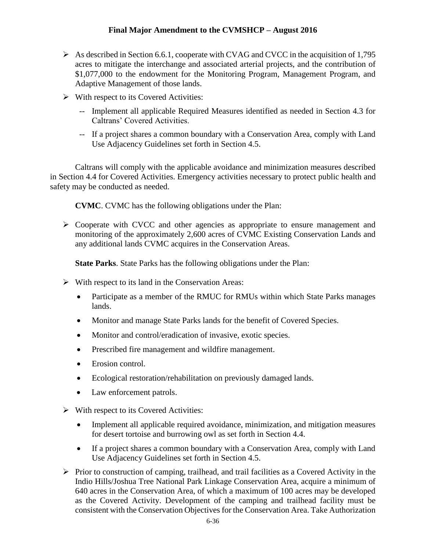- $\triangleright$  As described in Section 6.6.1, cooperate with CVAG and CVCC in the acquisition of 1,795 acres to mitigate the interchange and associated arterial projects, and the contribution of \$1,077,000 to the endowment for the Monitoring Program, Management Program, and Adaptive Management of those lands.
- $\triangleright$  With respect to its Covered Activities:
	- -- Implement all applicable Required Measures identified as needed in Section 4.3 for Caltrans' Covered Activities.
	- -- If a project shares a common boundary with a Conservation Area, comply with Land Use Adjacency Guidelines set forth in Section 4.5.

Caltrans will comply with the applicable avoidance and minimization measures described in Section 4.4 for Covered Activities. Emergency activities necessary to protect public health and safety may be conducted as needed.

**CVMC**. CVMC has the following obligations under the Plan:

 $\triangleright$  Cooperate with CVCC and other agencies as appropriate to ensure management and monitoring of the approximately 2,600 acres of CVMC Existing Conservation Lands and any additional lands CVMC acquires in the Conservation Areas.

**State Parks**. State Parks has the following obligations under the Plan:

- $\triangleright$  With respect to its land in the Conservation Areas:
	- Participate as a member of the RMUC for RMUs within which State Parks manages lands.
	- Monitor and manage State Parks lands for the benefit of Covered Species.
	- Monitor and control/eradication of invasive, exotic species.
	- Prescribed fire management and wildfire management.
	- Erosion control.
	- Ecological restoration/rehabilitation on previously damaged lands.
	- Law enforcement patrols.
- $\triangleright$  With respect to its Covered Activities:
	- Implement all applicable required avoidance, minimization, and mitigation measures for desert tortoise and burrowing owl as set forth in Section 4.4.
	- If a project shares a common boundary with a Conservation Area, comply with Land Use Adjacency Guidelines set forth in Section 4.5.
- $\triangleright$  Prior to construction of camping, trailhead, and trail facilities as a Covered Activity in the Indio Hills/Joshua Tree National Park Linkage Conservation Area, acquire a minimum of 640 acres in the Conservation Area, of which a maximum of 100 acres may be developed as the Covered Activity. Development of the camping and trailhead facility must be consistent with the Conservation Objectives for the Conservation Area. Take Authorization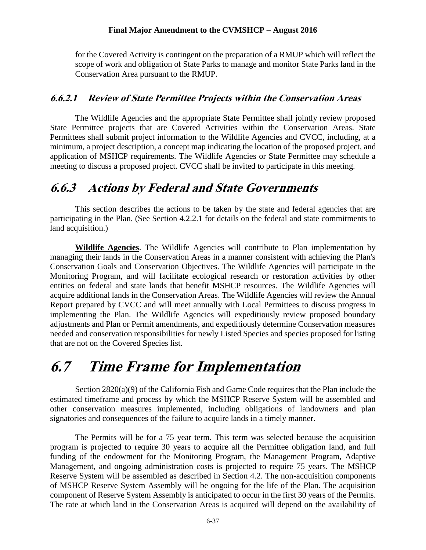for the Covered Activity is contingent on the preparation of a RMUP which will reflect the scope of work and obligation of State Parks to manage and monitor State Parks land in the Conservation Area pursuant to the RMUP.

#### **6.6.2.1 Review of State Permittee Projects within the Conservation Areas**

The Wildlife Agencies and the appropriate State Permittee shall jointly review proposed State Permittee projects that are Covered Activities within the Conservation Areas. State Permittees shall submit project information to the Wildlife Agencies and CVCC, including, at a minimum, a project description, a concept map indicating the location of the proposed project, and application of MSHCP requirements. The Wildlife Agencies or State Permittee may schedule a meeting to discuss a proposed project. CVCC shall be invited to participate in this meeting.

### **6.6.3 Actions by Federal and State Governments**

This section describes the actions to be taken by the state and federal agencies that are participating in the Plan. (See Section 4.2.2.1 for details on the federal and state commitments to land acquisition.)

**Wildlife Agencies**. The Wildlife Agencies will contribute to Plan implementation by managing their lands in the Conservation Areas in a manner consistent with achieving the Plan's Conservation Goals and Conservation Objectives. The Wildlife Agencies will participate in the Monitoring Program, and will facilitate ecological research or restoration activities by other entities on federal and state lands that benefit MSHCP resources. The Wildlife Agencies will acquire additional lands in the Conservation Areas. The Wildlife Agencies will review the Annual Report prepared by CVCC and will meet annually with Local Permittees to discuss progress in implementing the Plan. The Wildlife Agencies will expeditiously review proposed boundary adjustments and Plan or Permit amendments, and expeditiously determine Conservation measures needed and conservation responsibilities for newly Listed Species and species proposed for listing that are not on the Covered Species list.

## **6.7 Time Frame for Implementation**

Section 2820(a)(9) of the California Fish and Game Code requires that the Plan include the estimated timeframe and process by which the MSHCP Reserve System will be assembled and other conservation measures implemented, including obligations of landowners and plan signatories and consequences of the failure to acquire lands in a timely manner.

The Permits will be for a 75 year term. This term was selected because the acquisition program is projected to require 30 years to acquire all the Permittee obligation land, and full funding of the endowment for the Monitoring Program, the Management Program, Adaptive Management, and ongoing administration costs is projected to require 75 years. The MSHCP Reserve System will be assembled as described in Section 4.2. The non-acquisition components of MSHCP Reserve System Assembly will be ongoing for the life of the Plan. The acquisition component of Reserve System Assembly is anticipated to occur in the first 30 years of the Permits. The rate at which land in the Conservation Areas is acquired will depend on the availability of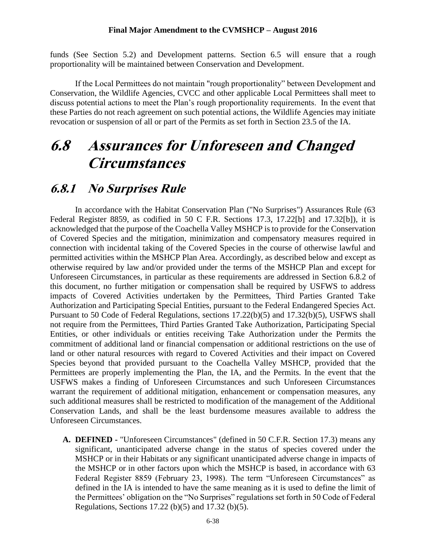funds (See Section 5.2) and Development patterns. Section 6.5 will ensure that a rough proportionality will be maintained between Conservation and Development.

If the Local Permittees do not maintain "rough proportionality" between Development and Conservation, the Wildlife Agencies, CVCC and other applicable Local Permittees shall meet to discuss potential actions to meet the Plan's rough proportionality requirements. In the event that these Parties do not reach agreement on such potential actions, the Wildlife Agencies may initiate revocation or suspension of all or part of the Permits as set forth in Section 23.5 of the IA.

## **6.8 Assurances for Unforeseen and Changed Circumstances**

### **6.8.1 No Surprises Rule**

In accordance with the Habitat Conservation Plan ("No Surprises") Assurances Rule (63 Federal Register 8859, as codified in 50 C F.R. Sections 17.3, 17.22[b] and 17.32[b]), it is acknowledged that the purpose of the Coachella Valley MSHCP is to provide for the Conservation of Covered Species and the mitigation, minimization and compensatory measures required in connection with incidental taking of the Covered Species in the course of otherwise lawful and permitted activities within the MSHCP Plan Area. Accordingly, as described below and except as otherwise required by law and/or provided under the terms of the MSHCP Plan and except for Unforeseen Circumstances, in particular as these requirements are addressed in Section 6.8.2 of this document, no further mitigation or compensation shall be required by USFWS to address impacts of Covered Activities undertaken by the Permittees, Third Parties Granted Take Authorization and Participating Special Entities, pursuant to the Federal Endangered Species Act. Pursuant to 50 Code of Federal Regulations, sections 17.22(b)(5) and 17.32(b)(5), USFWS shall not require from the Permittees, Third Parties Granted Take Authorization, Participating Special Entities, or other individuals or entities receiving Take Authorization under the Permits the commitment of additional land or financial compensation or additional restrictions on the use of land or other natural resources with regard to Covered Activities and their impact on Covered Species beyond that provided pursuant to the Coachella Valley MSHCP, provided that the Permittees are properly implementing the Plan, the IA, and the Permits. In the event that the USFWS makes a finding of Unforeseen Circumstances and such Unforeseen Circumstances warrant the requirement of additional mitigation, enhancement or compensation measures, any such additional measures shall be restricted to modification of the management of the Additional Conservation Lands, and shall be the least burdensome measures available to address the Unforeseen Circumstances.

**A. DEFINED -** "Unforeseen Circumstances" (defined in 50 C.F.R. Section 17.3) means any significant, unanticipated adverse change in the status of species covered under the MSHCP or in their Habitats or any significant unanticipated adverse change in impacts of the MSHCP or in other factors upon which the MSHCP is based, in accordance with 63 Federal Register 8859 (February 23, 1998). The term "Unforeseen Circumstances" as defined in the IA is intended to have the same meaning as it is used to define the limit of the Permittees' obligation on the "No Surprises" regulations set forth in 50 Code of Federal Regulations, Sections 17.22 (b)(5) and 17.32 (b)(5).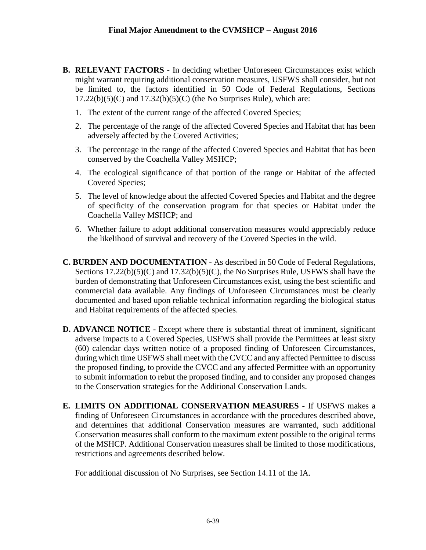- **B. RELEVANT FACTORS**  In deciding whether Unforeseen Circumstances exist which might warrant requiring additional conservation measures, USFWS shall consider, but not be limited to, the factors identified in 50 Code of Federal Regulations, Sections  $17.22(b)(5)(C)$  and  $17.32(b)(5)(C)$  (the No Surprises Rule), which are:
	- 1. The extent of the current range of the affected Covered Species;
	- 2. The percentage of the range of the affected Covered Species and Habitat that has been adversely affected by the Covered Activities;
	- 3. The percentage in the range of the affected Covered Species and Habitat that has been conserved by the Coachella Valley MSHCP;
	- 4. The ecological significance of that portion of the range or Habitat of the affected Covered Species;
	- 5. The level of knowledge about the affected Covered Species and Habitat and the degree of specificity of the conservation program for that species or Habitat under the Coachella Valley MSHCP; and
	- 6. Whether failure to adopt additional conservation measures would appreciably reduce the likelihood of survival and recovery of the Covered Species in the wild.
- **C. BURDEN AND DOCUMENTATION**  As described in 50 Code of Federal Regulations, Sections 17.22(b)(5)(C) and 17.32(b)(5)(C), the No Surprises Rule, USFWS shall have the burden of demonstrating that Unforeseen Circumstances exist, using the best scientific and commercial data available. Any findings of Unforeseen Circumstances must be clearly documented and based upon reliable technical information regarding the biological status and Habitat requirements of the affected species.
- **D. ADVANCE NOTICE -** Except where there is substantial threat of imminent, significant adverse impacts to a Covered Species, USFWS shall provide the Permittees at least sixty (60) calendar days written notice of a proposed finding of Unforeseen Circumstances, during which time USFWS shall meet with the CVCC and any affected Permittee to discuss the proposed finding, to provide the CVCC and any affected Permittee with an opportunity to submit information to rebut the proposed finding, and to consider any proposed changes to the Conservation strategies for the Additional Conservation Lands.
- **E. LIMITS ON ADDITIONAL CONSERVATION MEASURES -** If USFWS makes a finding of Unforeseen Circumstances in accordance with the procedures described above, and determines that additional Conservation measures are warranted, such additional Conservation measures shall conform to the maximum extent possible to the original terms of the MSHCP. Additional Conservation measures shall be limited to those modifications, restrictions and agreements described below.

For additional discussion of No Surprises, see Section 14.11 of the IA.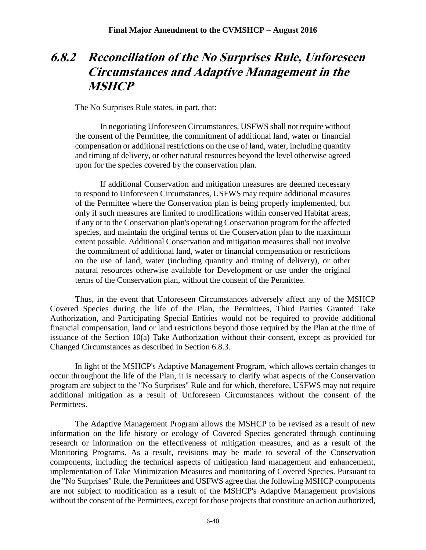## **6.8.2 Reconciliation of the No Surprises Rule, Unforeseen Circumstances and Adaptive Management in the MSHCP**

The No Surprises Rule states, in part, that:

In negotiating Unforeseen Circumstances, USFWS shall not require without the consent of the Permittee, the commitment of additional land, water or financial compensation or additional restrictions on the use of land, water, including quantity and timing of delivery, or other natural resources beyond the level otherwise agreed upon for the species covered by the conservation plan.

If additional Conservation and mitigation measures are deemed necessary to respond to Unforeseen Circumstances, USFWS may require additional measures of the Permittee where the Conservation plan is being properly implemented, but only if such measures are limited to modifications within conserved Habitat areas, if any or to the Conservation plan's operating Conservation program for the affected species, and maintain the original terms of the Conservation plan to the maximum extent possible. Additional Conservation and mitigation measures shall not involve the commitment of additional land, water or financial compensation or restrictions on the use of land, water (including quantity and timing of delivery), or other natural resources otherwise available for Development or use under the original terms of the Conservation plan, without the consent of the Permittee.

Thus, in the event that Unforeseen Circumstances adversely affect any of the MSHCP Covered Species during the life of the Plan, the Permittees, Third Parties Granted Take Authorization, and Participating Special Entities would not be required to provide additional financial compensation, land or land restrictions beyond those required by the Plan at the time of issuance of the Section 10(a) Take Authorization without their consent, except as provided for Changed Circumstances as described in Section 6.8.3.

In light of the MSHCP's Adaptive Management Program, which allows certain changes to occur throughout the life of the Plan, it is necessary to clarify what aspects of the Conservation program are subject to the "No Surprises" Rule and for which, therefore, USFWS may not require additional mitigation as a result of Unforeseen Circumstances without the consent of the Permittees.

The Adaptive Management Program allows the MSHCP to be revised as a result of new information on the life history or ecology of Covered Species generated through continuing research or information on the effectiveness of mitigation measures, and as a result of the Monitoring Programs. As a result, revisions may be made to several of the Conservation components, including the technical aspects of mitigation land management and enhancement, implementation of Take Minimization Measures and monitoring of Covered Species. Pursuant to the "No Surprises" Rule, the Permittees and USFWS agree that the following MSHCP components are not subject to modification as a result of the MSHCP's Adaptive Management provisions without the consent of the Permittees, except for those projects that constitute an action authorized,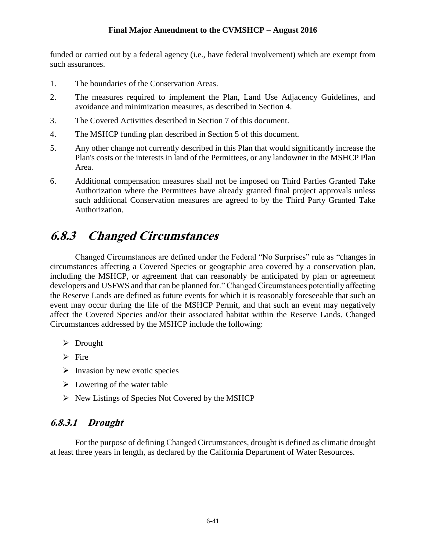funded or carried out by a federal agency (i.e., have federal involvement) which are exempt from such assurances.

- 1. The boundaries of the Conservation Areas.
- 2. The measures required to implement the Plan, Land Use Adjacency Guidelines, and avoidance and minimization measures, as described in Section 4.
- 3. The Covered Activities described in Section 7 of this document.
- 4. The MSHCP funding plan described in Section 5 of this document*.*
- 5. Any other change not currently described in this Plan that would significantly increase the Plan's costs or the interests in land of the Permittees, or any landowner in the MSHCP Plan Area.
- 6. Additional compensation measures shall not be imposed on Third Parties Granted Take Authorization where the Permittees have already granted final project approvals unless such additional Conservation measures are agreed to by the Third Party Granted Take Authorization.

## **6.8.3 Changed Circumstances**

Changed Circumstances are defined under the Federal "No Surprises" rule as "changes in circumstances affecting a Covered Species or geographic area covered by a conservation plan, including the MSHCP, or agreement that can reasonably be anticipated by plan or agreement developers and USFWS and that can be planned for." Changed Circumstances potentially affecting the Reserve Lands are defined as future events for which it is reasonably foreseeable that such an event may occur during the life of the MSHCP Permit, and that such an event may negatively affect the Covered Species and/or their associated habitat within the Reserve Lands. Changed Circumstances addressed by the MSHCP include the following:

- > Drought
- $\triangleright$  Fire
- $\triangleright$  Invasion by new exotic species
- $\triangleright$  Lowering of the water table
- $\triangleright$  New Listings of Species Not Covered by the MSHCP

#### **6.8.3.1 Drought**

For the purpose of defining Changed Circumstances, drought is defined as climatic drought at least three years in length, as declared by the California Department of Water Resources.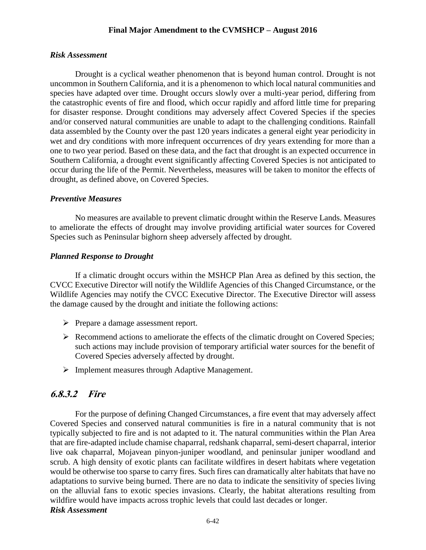#### *Risk Assessment*

Drought is a cyclical weather phenomenon that is beyond human control. Drought is not uncommon in Southern California, and it is a phenomenon to which local natural communities and species have adapted over time. Drought occurs slowly over a multi-year period, differing from the catastrophic events of fire and flood, which occur rapidly and afford little time for preparing for disaster response. Drought conditions may adversely affect Covered Species if the species and/or conserved natural communities are unable to adapt to the challenging conditions. Rainfall data assembled by the County over the past 120 years indicates a general eight year periodicity in wet and dry conditions with more infrequent occurrences of dry years extending for more than a one to two year period. Based on these data, and the fact that drought is an expected occurrence in Southern California, a drought event significantly affecting Covered Species is not anticipated to occur during the life of the Permit. Nevertheless, measures will be taken to monitor the effects of drought, as defined above, on Covered Species.

#### *Preventive Measures*

No measures are available to prevent climatic drought within the Reserve Lands. Measures to ameliorate the effects of drought may involve providing artificial water sources for Covered Species such as Peninsular bighorn sheep adversely affected by drought.

#### *Planned Response to Drought*

If a climatic drought occurs within the MSHCP Plan Area as defined by this section, the CVCC Executive Director will notify the Wildlife Agencies of this Changed Circumstance, or the Wildlife Agencies may notify the CVCC Executive Director. The Executive Director will assess the damage caused by the drought and initiate the following actions:

- $\triangleright$  Prepare a damage assessment report.
- $\triangleright$  Recommend actions to ameliorate the effects of the climatic drought on Covered Species; such actions may include provision of temporary artificial water sources for the benefit of Covered Species adversely affected by drought.
- $\triangleright$  Implement measures through Adaptive Management.

#### **6.8.3.2 Fire**

For the purpose of defining Changed Circumstances, a fire event that may adversely affect Covered Species and conserved natural communities is fire in a natural community that is not typically subjected to fire and is not adapted to it. The natural communities within the Plan Area that are fire-adapted include chamise chaparral, redshank chaparral, semi-desert chaparral, interior live oak chaparral, Mojavean pinyon-juniper woodland, and peninsular juniper woodland and scrub. A high density of exotic plants can facilitate wildfires in desert habitats where vegetation would be otherwise too sparse to carry fires. Such fires can dramatically alter habitats that have no adaptations to survive being burned. There are no data to indicate the sensitivity of species living on the alluvial fans to exotic species invasions. Clearly, the habitat alterations resulting from wildfire would have impacts across trophic levels that could last decades or longer. *Risk Assessment*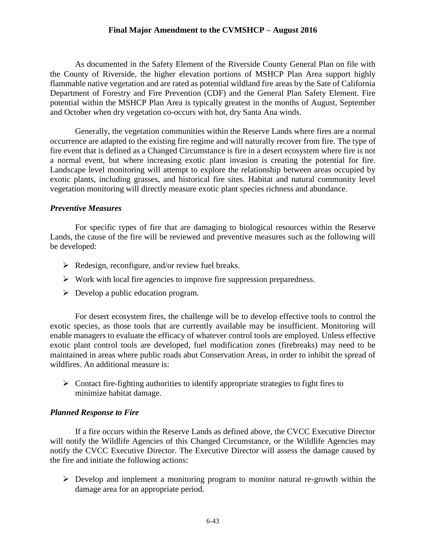As documented in the Safety Element of the Riverside County General Plan on file with the County of Riverside, the higher elevation portions of MSHCP Plan Area support highly flammable native vegetation and are rated as potential wildland fire areas by the Sate of California Department of Forestry and Fire Prevention (CDF) and the General Plan Safety Element. Fire potential within the MSHCP Plan Area is typically greatest in the months of August, September and October when dry vegetation co-occurs with hot, dry Santa Ana winds.

Generally, the vegetation communities within the Reserve Lands where fires are a normal occurrence are adapted to the existing fire regime and will naturally recover from fire. The type of fire event that is defined as a Changed Circumstance is fire in a desert ecosystem where fire is not a normal event, but where increasing exotic plant invasion is creating the potential for fire. Landscape level monitoring will attempt to explore the relationship between areas occupied by exotic plants, including grasses, and historical fire sites. Habitat and natural community level vegetation monitoring will directly measure exotic plant species richness and abundance.

#### *Preventive Measures*

For specific types of fire that are damaging to biological resources within the Reserve Lands, the cause of the fire will be reviewed and preventive measures such as the following will be developed:

- $\triangleright$  Redesign, reconfigure, and/or review fuel breaks.
- $\triangleright$  Work with local fire agencies to improve fire suppression preparedness.
- $\triangleright$  Develop a public education program.

For desert ecosystem fires, the challenge will be to develop effective tools to control the exotic species, as those tools that are currently available may be insufficient. Monitoring will enable managers to evaluate the efficacy of whatever control tools are employed. Unless effective exotic plant control tools are developed, fuel modification zones (firebreaks) may need to be maintained in areas where public roads abut Conservation Areas, in order to inhibit the spread of wildfires. An additional measure is:

 $\triangleright$  Contact fire-fighting authorities to identify appropriate strategies to fight fires to minimize habitat damage.

#### *Planned Response to Fire*

If a fire occurs within the Reserve Lands as defined above, the CVCC Executive Director will notify the Wildlife Agencies of this Changed Circumstance, or the Wildlife Agencies may notify the CVCC Executive Director. The Executive Director will assess the damage caused by the fire and initiate the following actions:

 $\triangleright$  Develop and implement a monitoring program to monitor natural re-growth within the damage area for an appropriate period.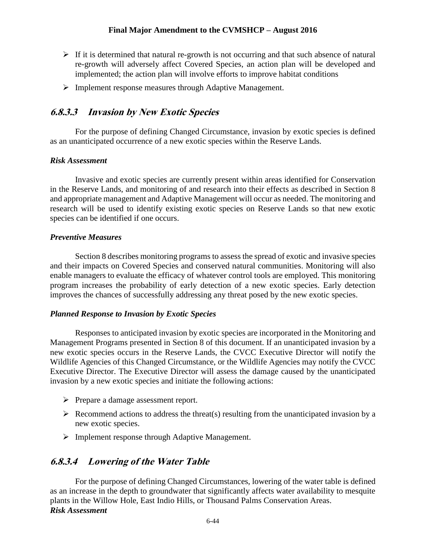- $\triangleright$  If it is determined that natural re-growth is not occurring and that such absence of natural re-growth will adversely affect Covered Species, an action plan will be developed and implemented; the action plan will involve efforts to improve habitat conditions
- Implement response measures through Adaptive Management.

#### **6.8.3.3 Invasion by New Exotic Species**

For the purpose of defining Changed Circumstance, invasion by exotic species is defined as an unanticipated occurrence of a new exotic species within the Reserve Lands.

#### *Risk Assessment*

Invasive and exotic species are currently present within areas identified for Conservation in the Reserve Lands, and monitoring of and research into their effects as described in Section 8 and appropriate management and Adaptive Management will occur as needed. The monitoring and research will be used to identify existing exotic species on Reserve Lands so that new exotic species can be identified if one occurs.

#### *Preventive Measures*

Section 8 describes monitoring programs to assess the spread of exotic and invasive species and their impacts on Covered Species and conserved natural communities. Monitoring will also enable managers to evaluate the efficacy of whatever control tools are employed. This monitoring program increases the probability of early detection of a new exotic species. Early detection improves the chances of successfully addressing any threat posed by the new exotic species.

#### *Planned Response to Invasion by Exotic Species*

Responses to anticipated invasion by exotic species are incorporated in the Monitoring and Management Programs presented in Section 8 of this document. If an unanticipated invasion by a new exotic species occurs in the Reserve Lands, the CVCC Executive Director will notify the Wildlife Agencies of this Changed Circumstance, or the Wildlife Agencies may notify the CVCC Executive Director. The Executive Director will assess the damage caused by the unanticipated invasion by a new exotic species and initiate the following actions:

- $\triangleright$  Prepare a damage assessment report.
- $\triangleright$  Recommend actions to address the threat(s) resulting from the unanticipated invasion by a new exotic species.
- Implement response through Adaptive Management.

#### **6.8.3.4 Lowering of the Water Table**

For the purpose of defining Changed Circumstances, lowering of the water table is defined as an increase in the depth to groundwater that significantly affects water availability to mesquite plants in the Willow Hole, East Indio Hills, or Thousand Palms Conservation Areas. *Risk Assessment*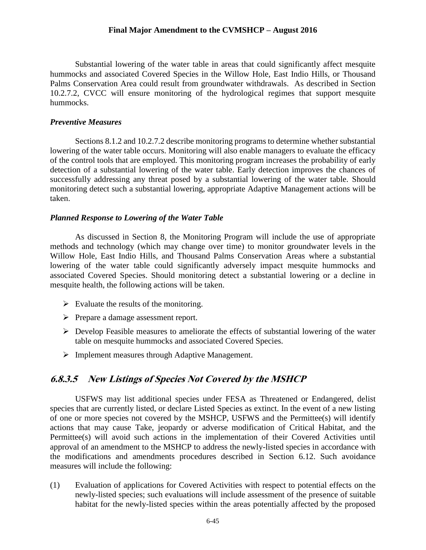Substantial lowering of the water table in areas that could significantly affect mesquite hummocks and associated Covered Species in the Willow Hole, East Indio Hills, or Thousand Palms Conservation Area could result from groundwater withdrawals. As described in Section 10.2.7.2, CVCC will ensure monitoring of the hydrological regimes that support mesquite hummocks.

#### *Preventive Measures*

Sections 8.1.2 and 10.2.7.2 describe monitoring programs to determine whether substantial lowering of the water table occurs. Monitoring will also enable managers to evaluate the efficacy of the control tools that are employed. This monitoring program increases the probability of early detection of a substantial lowering of the water table. Early detection improves the chances of successfully addressing any threat posed by a substantial lowering of the water table. Should monitoring detect such a substantial lowering, appropriate Adaptive Management actions will be taken.

#### *Planned Response to Lowering of the Water Table*

As discussed in Section 8, the Monitoring Program will include the use of appropriate methods and technology (which may change over time) to monitor groundwater levels in the Willow Hole, East Indio Hills, and Thousand Palms Conservation Areas where a substantial lowering of the water table could significantly adversely impact mesquite hummocks and associated Covered Species. Should monitoring detect a substantial lowering or a decline in mesquite health, the following actions will be taken.

- $\triangleright$  Evaluate the results of the monitoring.
- Prepare a damage assessment report.
- $\triangleright$  Develop Feasible measures to ameliorate the effects of substantial lowering of the water table on mesquite hummocks and associated Covered Species.
- Implement measures through Adaptive Management.

#### **6.8.3.5 New Listings of Species Not Covered by the MSHCP**

USFWS may list additional species under FESA as Threatened or Endangered, delist species that are currently listed, or declare Listed Species as extinct. In the event of a new listing of one or more species not covered by the MSHCP, USFWS and the Permittee(s) will identify actions that may cause Take, jeopardy or adverse modification of Critical Habitat, and the Permittee(s) will avoid such actions in the implementation of their Covered Activities until approval of an amendment to the MSHCP to address the newly-listed species in accordance with the modifications and amendments procedures described in Section 6.12. Such avoidance measures will include the following:

(1) Evaluation of applications for Covered Activities with respect to potential effects on the newly-listed species; such evaluations will include assessment of the presence of suitable habitat for the newly-listed species within the areas potentially affected by the proposed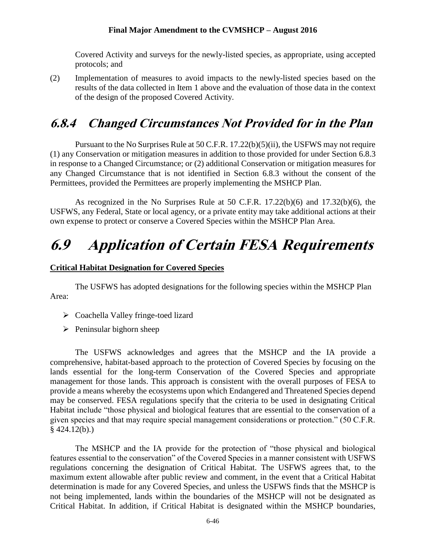Covered Activity and surveys for the newly-listed species, as appropriate, using accepted protocols; and

(2) Implementation of measures to avoid impacts to the newly-listed species based on the results of the data collected in Item 1 above and the evaluation of those data in the context of the design of the proposed Covered Activity.

## **6.8.4 Changed Circumstances Not Provided for in the Plan**

Pursuant to the No Surprises Rule at 50 C.F.R. 17.22(b)(5)(ii), the USFWS may not require (1) any Conservation or mitigation measures in addition to those provided for under Section 6.8.3 in response to a Changed Circumstance; or (2) additional Conservation or mitigation measures for any Changed Circumstance that is not identified in Section 6.8.3 without the consent of the Permittees, provided the Permittees are properly implementing the MSHCP Plan.

As recognized in the No Surprises Rule at 50 C.F.R. 17.22(b)(6) and 17.32(b)(6), the USFWS, any Federal, State or local agency, or a private entity may take additional actions at their own expense to protect or conserve a Covered Species within the MSHCP Plan Area.

# **6.9 Application of Certain FESA Requirements**

#### **Critical Habitat Designation for Covered Species**

The USFWS has adopted designations for the following species within the MSHCP Plan Area:

- $\triangleright$  Coachella Valley fringe-toed lizard
- $\triangleright$  Peninsular bighorn sheep

The USFWS acknowledges and agrees that the MSHCP and the IA provide a comprehensive, habitat-based approach to the protection of Covered Species by focusing on the lands essential for the long-term Conservation of the Covered Species and appropriate management for those lands. This approach is consistent with the overall purposes of FESA to provide a means whereby the ecosystems upon which Endangered and Threatened Species depend may be conserved. FESA regulations specify that the criteria to be used in designating Critical Habitat include "those physical and biological features that are essential to the conservation of a given species and that may require special management considerations or protection." (50 C.F.R.  $§$  424.12(b).)

The MSHCP and the IA provide for the protection of "those physical and biological features essential to the conservation" of the Covered Species in a manner consistent with USFWS regulations concerning the designation of Critical Habitat. The USFWS agrees that, to the maximum extent allowable after public review and comment, in the event that a Critical Habitat determination is made for any Covered Species, and unless the USFWS finds that the MSHCP is not being implemented, lands within the boundaries of the MSHCP will not be designated as Critical Habitat. In addition, if Critical Habitat is designated within the MSHCP boundaries,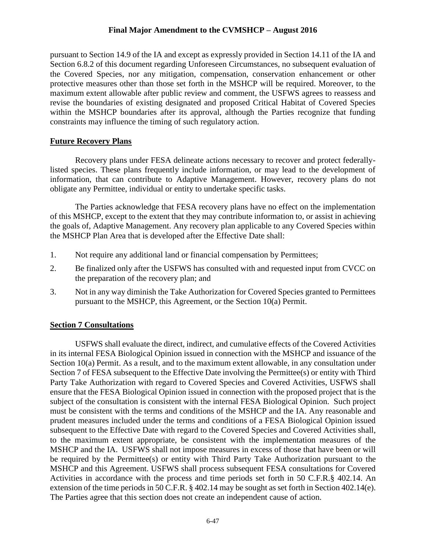pursuant to Section 14.9 of the IA and except as expressly provided in Section 14.11 of the IA and Section 6.8.2 of this document regarding Unforeseen Circumstances, no subsequent evaluation of the Covered Species, nor any mitigation, compensation, conservation enhancement or other protective measures other than those set forth in the MSHCP will be required. Moreover, to the maximum extent allowable after public review and comment, the USFWS agrees to reassess and revise the boundaries of existing designated and proposed Critical Habitat of Covered Species within the MSHCP boundaries after its approval, although the Parties recognize that funding constraints may influence the timing of such regulatory action.

#### **Future Recovery Plans**

Recovery plans under FESA delineate actions necessary to recover and protect federallylisted species. These plans frequently include information, or may lead to the development of information, that can contribute to Adaptive Management. However, recovery plans do not obligate any Permittee, individual or entity to undertake specific tasks.

The Parties acknowledge that FESA recovery plans have no effect on the implementation of this MSHCP, except to the extent that they may contribute information to, or assist in achieving the goals of, Adaptive Management. Any recovery plan applicable to any Covered Species within the MSHCP Plan Area that is developed after the Effective Date shall:

- 1. Not require any additional land or financial compensation by Permittees;
- 2. Be finalized only after the USFWS has consulted with and requested input from CVCC on the preparation of the recovery plan; and
- 3. Not in any way diminish the Take Authorization for Covered Species granted to Permittees pursuant to the MSHCP, this Agreement, or the Section 10(a) Permit.

#### **Section 7 Consultations**

USFWS shall evaluate the direct, indirect, and cumulative effects of the Covered Activities in its internal FESA Biological Opinion issued in connection with the MSHCP and issuance of the Section 10(a) Permit. As a result, and to the maximum extent allowable, in any consultation under Section 7 of FESA subsequent to the Effective Date involving the Permittee(s) or entity with Third Party Take Authorization with regard to Covered Species and Covered Activities, USFWS shall ensure that the FESA Biological Opinion issued in connection with the proposed project that is the subject of the consultation is consistent with the internal FESA Biological Opinion. Such project must be consistent with the terms and conditions of the MSHCP and the IA. Any reasonable and prudent measures included under the terms and conditions of a FESA Biological Opinion issued subsequent to the Effective Date with regard to the Covered Species and Covered Activities shall, to the maximum extent appropriate, be consistent with the implementation measures of the MSHCP and the IA. USFWS shall not impose measures in excess of those that have been or will be required by the Permittee(s) or entity with Third Party Take Authorization pursuant to the MSHCP and this Agreement. USFWS shall process subsequent FESA consultations for Covered Activities in accordance with the process and time periods set forth in 50 C.F.R.§ 402.14. An extension of the time periods in 50 C.F.R. § 402.14 may be sought as set forth in Section 402.14(e). The Parties agree that this section does not create an independent cause of action.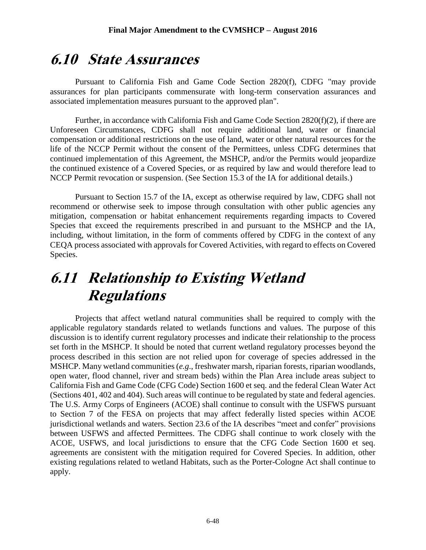## **6.10 State Assurances**

Pursuant to California Fish and Game Code Section 2820(f), CDFG "may provide assurances for plan participants commensurate with long-term conservation assurances and associated implementation measures pursuant to the approved plan".

Further, in accordance with California Fish and Game Code Section 2820(f)(2), if there are Unforeseen Circumstances, CDFG shall not require additional land, water or financial compensation or additional restrictions on the use of land, water or other natural resources for the life of the NCCP Permit without the consent of the Permittees, unless CDFG determines that continued implementation of this Agreement, the MSHCP, and/or the Permits would jeopardize the continued existence of a Covered Species, or as required by law and would therefore lead to NCCP Permit revocation or suspension. (See Section 15.3 of the IA for additional details.)

Pursuant to Section 15.7 of the IA, except as otherwise required by law, CDFG shall not recommend or otherwise seek to impose through consultation with other public agencies any mitigation, compensation or habitat enhancement requirements regarding impacts to Covered Species that exceed the requirements prescribed in and pursuant to the MSHCP and the IA, including, without limitation, in the form of comments offered by CDFG in the context of any CEQA process associated with approvals for Covered Activities, with regard to effects on Covered Species.

## **6.11 Relationship to Existing Wetland Regulations**

Projects that affect wetland natural communities shall be required to comply with the applicable regulatory standards related to wetlands functions and values. The purpose of this discussion is to identify current regulatory processes and indicate their relationship to the process set forth in the MSHCP. It should be noted that current wetland regulatory processes beyond the process described in this section are not relied upon for coverage of species addressed in the MSHCP. Many wetland communities (*e.g*., freshwater marsh, riparian forests, riparian woodlands, open water, flood channel, river and stream beds) within the Plan Area include areas subject to California Fish and Game Code (CFG Code) Section 1600 et seq. and the federal Clean Water Act (Sections 401, 402 and 404). Such areas will continue to be regulated by state and federal agencies. The U.S. Army Corps of Engineers (ACOE) shall continue to consult with the USFWS pursuant to Section 7 of the FESA on projects that may affect federally listed species within ACOE jurisdictional wetlands and waters. Section 23.6 of the IA describes "meet and confer" provisions between USFWS and affected Permittees. The CDFG shall continue to work closely with the ACOE, USFWS, and local jurisdictions to ensure that the CFG Code Section 1600 et seq. agreements are consistent with the mitigation required for Covered Species. In addition, other existing regulations related to wetland Habitats, such as the Porter-Cologne Act shall continue to apply.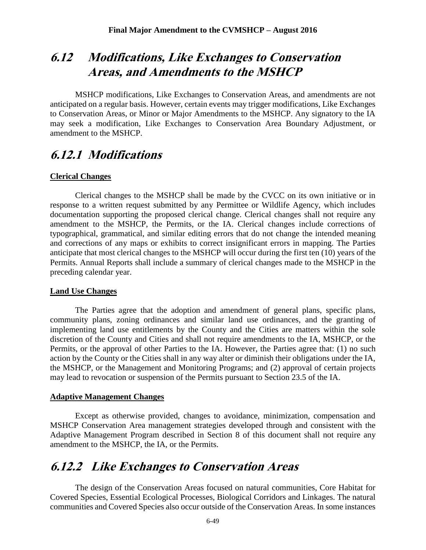## **6.12 Modifications, Like Exchanges to Conservation Areas, and Amendments to the MSHCP**

MSHCP modifications, Like Exchanges to Conservation Areas, and amendments are not anticipated on a regular basis. However, certain events may trigger modifications, Like Exchanges to Conservation Areas, or Minor or Major Amendments to the MSHCP. Any signatory to the IA may seek a modification, Like Exchanges to Conservation Area Boundary Adjustment, or amendment to the MSHCP.

### **6.12.1 Modifications**

#### **Clerical Changes**

Clerical changes to the MSHCP shall be made by the CVCC on its own initiative or in response to a written request submitted by any Permittee or Wildlife Agency, which includes documentation supporting the proposed clerical change. Clerical changes shall not require any amendment to the MSHCP, the Permits, or the IA. Clerical changes include corrections of typographical, grammatical, and similar editing errors that do not change the intended meaning and corrections of any maps or exhibits to correct insignificant errors in mapping. The Parties anticipate that most clerical changes to the MSHCP will occur during the first ten (10) years of the Permits. Annual Reports shall include a summary of clerical changes made to the MSHCP in the preceding calendar year.

#### **Land Use Changes**

The Parties agree that the adoption and amendment of general plans, specific plans, community plans, zoning ordinances and similar land use ordinances, and the granting of implementing land use entitlements by the County and the Cities are matters within the sole discretion of the County and Cities and shall not require amendments to the IA, MSHCP, or the Permits, or the approval of other Parties to the IA. However, the Parties agree that: (1) no such action by the County or the Cities shall in any way alter or diminish their obligations under the IA, the MSHCP, or the Management and Monitoring Programs; and (2) approval of certain projects may lead to revocation or suspension of the Permits pursuant to Section 23.5 of the IA.

#### **Adaptive Management Changes**

Except as otherwise provided, changes to avoidance, minimization, compensation and MSHCP Conservation Area management strategies developed through and consistent with the Adaptive Management Program described in Section 8 of this document shall not require any amendment to the MSHCP, the IA, or the Permits.

### **6.12.2 Like Exchanges to Conservation Areas**

The design of the Conservation Areas focused on natural communities, Core Habitat for Covered Species, Essential Ecological Processes, Biological Corridors and Linkages. The natural communities and Covered Species also occur outside of the Conservation Areas. In some instances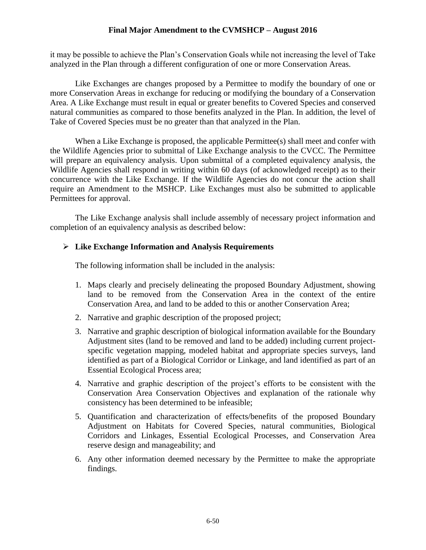it may be possible to achieve the Plan's Conservation Goals while not increasing the level of Take analyzed in the Plan through a different configuration of one or more Conservation Areas.

Like Exchanges are changes proposed by a Permittee to modify the boundary of one or more Conservation Areas in exchange for reducing or modifying the boundary of a Conservation Area. A Like Exchange must result in equal or greater benefits to Covered Species and conserved natural communities as compared to those benefits analyzed in the Plan. In addition, the level of Take of Covered Species must be no greater than that analyzed in the Plan.

When a Like Exchange is proposed, the applicable Permittee(s) shall meet and confer with the Wildlife Agencies prior to submittal of Like Exchange analysis to the CVCC. The Permittee will prepare an equivalency analysis. Upon submittal of a completed equivalency analysis, the Wildlife Agencies shall respond in writing within 60 days (of acknowledged receipt) as to their concurrence with the Like Exchange. If the Wildlife Agencies do not concur the action shall require an Amendment to the MSHCP. Like Exchanges must also be submitted to applicable Permittees for approval.

The Like Exchange analysis shall include assembly of necessary project information and completion of an equivalency analysis as described below:

#### **Like Exchange Information and Analysis Requirements**

The following information shall be included in the analysis:

- 1. Maps clearly and precisely delineating the proposed Boundary Adjustment, showing land to be removed from the Conservation Area in the context of the entire Conservation Area, and land to be added to this or another Conservation Area;
- 2. Narrative and graphic description of the proposed project;
- 3. Narrative and graphic description of biological information available for the Boundary Adjustment sites (land to be removed and land to be added) including current projectspecific vegetation mapping, modeled habitat and appropriate species surveys, land identified as part of a Biological Corridor or Linkage, and land identified as part of an Essential Ecological Process area;
- 4. Narrative and graphic description of the project's efforts to be consistent with the Conservation Area Conservation Objectives and explanation of the rationale why consistency has been determined to be infeasible;
- 5. Quantification and characterization of effects/benefits of the proposed Boundary Adjustment on Habitats for Covered Species, natural communities, Biological Corridors and Linkages, Essential Ecological Processes, and Conservation Area reserve design and manageability; and
- 6. Any other information deemed necessary by the Permittee to make the appropriate findings.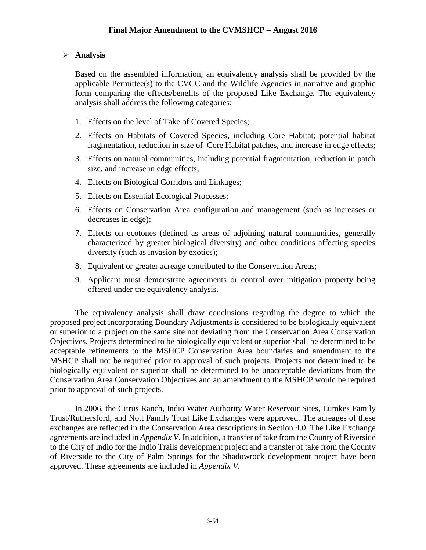#### **Analysis**

Based on the assembled information, an equivalency analysis shall be provided by the applicable Permittee(s) to the CVCC and the Wildlife Agencies in narrative and graphic form comparing the effects/benefits of the proposed Like Exchange. The equivalency analysis shall address the following categories:

- 1. Effects on the level of Take of Covered Species;
- 2. Effects on Habitats of Covered Species, including Core Habitat; potential habitat fragmentation, reduction in size of Core Habitat patches, and increase in edge effects;
- 3. Effects on natural communities, including potential fragmentation, reduction in patch size, and increase in edge effects;
- 4. Effects on Biological Corridors and Linkages;
- 5. Effects on Essential Ecological Processes;
- 6. Effects on Conservation Area configuration and management (such as increases or decreases in edge);
- 7. Effects on ecotones (defined as areas of adjoining natural communities, generally characterized by greater biological diversity) and other conditions affecting species diversity (such as invasion by exotics);
- 8. Equivalent or greater acreage contributed to the Conservation Areas;
- 9. Applicant must demonstrate agreements or control over mitigation property being offered under the equivalency analysis.

The equivalency analysis shall draw conclusions regarding the degree to which the proposed project incorporating Boundary Adjustments is considered to be biologically equivalent or superior to a project on the same site not deviating from the Conservation Area Conservation Objectives. Projects determined to be biologically equivalent or superior shall be determined to be acceptable refinements to the MSHCP Conservation Area boundaries and amendment to the MSHCP shall not be required prior to approval of such projects. Projects not determined to be biologically equivalent or superior shall be determined to be unacceptable deviations from the Conservation Area Conservation Objectives and an amendment to the MSHCP would be required prior to approval of such projects.

In 2006, the Citrus Ranch, Indio Water Authority Water Reservoir Sites, Lumkes Family Trust/Ruthersford, and Nott Family Trust Like Exchanges were approved. The acreages of these exchanges are reflected in the Conservation Area descriptions in Section 4.0. The Like Exchange agreements are included in *Appendix V*. In addition, a transfer of take from the County of Riverside to the City of Indio for the Indio Trails development project and a transfer of take from the County of Riverside to the City of Palm Springs for the Shadowrock development project have been approved. These agreements are included in *Appendix V*.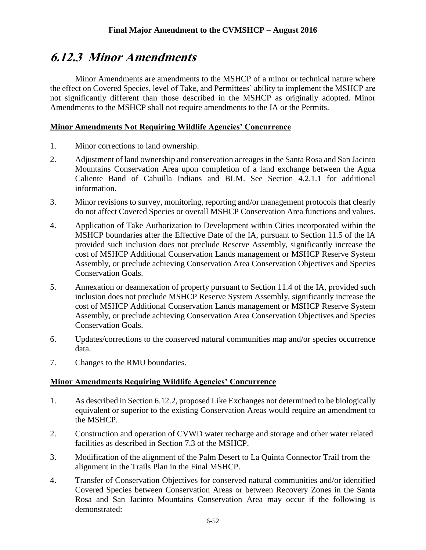## **6.12.3 Minor Amendments**

Minor Amendments are amendments to the MSHCP of a minor or technical nature where the effect on Covered Species, level of Take, and Permittees' ability to implement the MSHCP are not significantly different than those described in the MSHCP as originally adopted. Minor Amendments to the MSHCP shall not require amendments to the IA or the Permits.

#### **Minor Amendments Not Requiring Wildlife Agencies' Concurrence**

- 1. Minor corrections to land ownership.
- 2. Adjustment of land ownership and conservation acreages in the Santa Rosa and San Jacinto Mountains Conservation Area upon completion of a land exchange between the Agua Caliente Band of Cahuilla Indians and BLM. See Section 4.2.1.1 for additional information.
- 3. Minor revisions to survey, monitoring, reporting and/or management protocols that clearly do not affect Covered Species or overall MSHCP Conservation Area functions and values.
- 4. Application of Take Authorization to Development within Cities incorporated within the MSHCP boundaries after the Effective Date of the IA, pursuant to Section 11.5 of the IA provided such inclusion does not preclude Reserve Assembly, significantly increase the cost of MSHCP Additional Conservation Lands management or MSHCP Reserve System Assembly, or preclude achieving Conservation Area Conservation Objectives and Species Conservation Goals.
- 5. Annexation or deannexation of property pursuant to Section 11.4 of the IA, provided such inclusion does not preclude MSHCP Reserve System Assembly, significantly increase the cost of MSHCP Additional Conservation Lands management or MSHCP Reserve System Assembly, or preclude achieving Conservation Area Conservation Objectives and Species Conservation Goals.
- 6. Updates/corrections to the conserved natural communities map and/or species occurrence data.
- 7. Changes to the RMU boundaries.

#### **Minor Amendments Requiring Wildlife Agencies' Concurrence**

- 1. As described in Section 6.12.2, proposed Like Exchanges not determined to be biologically equivalent or superior to the existing Conservation Areas would require an amendment to the MSHCP.
- 2. Construction and operation of CVWD water recharge and storage and other water related facilities as described in Section 7.3 of the MSHCP.
- 3. Modification of the alignment of the Palm Desert to La Quinta Connector Trail from the alignment in the Trails Plan in the Final MSHCP.
- 4. Transfer of Conservation Objectives for conserved natural communities and/or identified Covered Species between Conservation Areas or between Recovery Zones in the Santa Rosa and San Jacinto Mountains Conservation Area may occur if the following is demonstrated: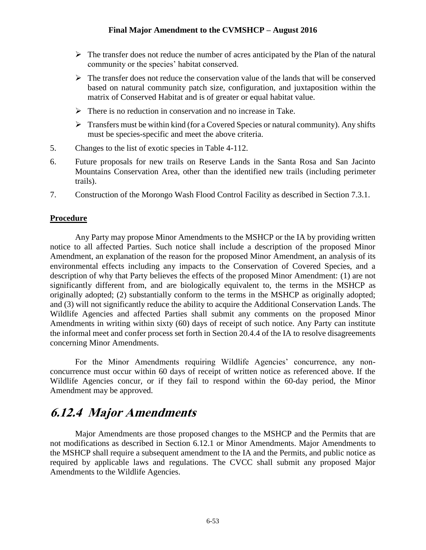- $\triangleright$  The transfer does not reduce the number of acres anticipated by the Plan of the natural community or the species' habitat conserved.
- $\triangleright$  The transfer does not reduce the conservation value of the lands that will be conserved based on natural community patch size, configuration, and juxtaposition within the matrix of Conserved Habitat and is of greater or equal habitat value.
- $\triangleright$  There is no reduction in conservation and no increase in Take.
- $\triangleright$  Transfers must be within kind (for a Covered Species or natural community). Any shifts must be species-specific and meet the above criteria.
- 5. Changes to the list of exotic species in Table 4-112.
- 6. Future proposals for new trails on Reserve Lands in the Santa Rosa and San Jacinto Mountains Conservation Area, other than the identified new trails (including perimeter trails).
- 7. Construction of the Morongo Wash Flood Control Facility as described in Section 7.3.1.

#### **Procedure**

Any Party may propose Minor Amendments to the MSHCP or the IA by providing written notice to all affected Parties. Such notice shall include a description of the proposed Minor Amendment, an explanation of the reason for the proposed Minor Amendment, an analysis of its environmental effects including any impacts to the Conservation of Covered Species, and a description of why that Party believes the effects of the proposed Minor Amendment: (1) are not significantly different from, and are biologically equivalent to, the terms in the MSHCP as originally adopted; (2) substantially conform to the terms in the MSHCP as originally adopted; and (3) will not significantly reduce the ability to acquire the Additional Conservation Lands. The Wildlife Agencies and affected Parties shall submit any comments on the proposed Minor Amendments in writing within sixty (60) days of receipt of such notice. Any Party can institute the informal meet and confer process set forth in Section 20.4.4 of the IA to resolve disagreements concerning Minor Amendments.

For the Minor Amendments requiring Wildlife Agencies' concurrence, any nonconcurrence must occur within 60 days of receipt of written notice as referenced above. If the Wildlife Agencies concur, or if they fail to respond within the 60-day period, the Minor Amendment may be approved.

## **6.12.4 Major Amendments**

Major Amendments are those proposed changes to the MSHCP and the Permits that are not modifications as described in Section 6.12.1 or Minor Amendments. Major Amendments to the MSHCP shall require a subsequent amendment to the IA and the Permits, and public notice as required by applicable laws and regulations. The CVCC shall submit any proposed Major Amendments to the Wildlife Agencies.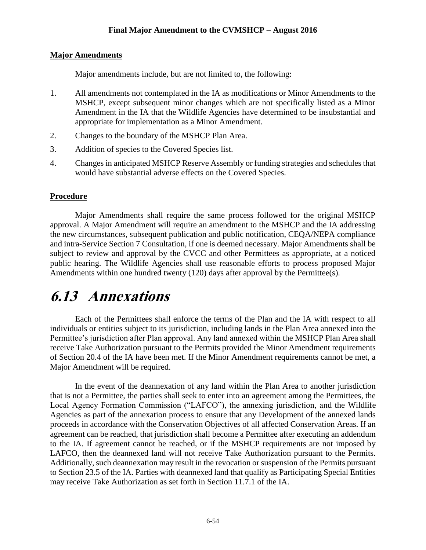#### **Major Amendments**

Major amendments include, but are not limited to, the following:

- 1. All amendments not contemplated in the IA as modifications or Minor Amendments to the MSHCP, except subsequent minor changes which are not specifically listed as a Minor Amendment in the IA that the Wildlife Agencies have determined to be insubstantial and appropriate for implementation as a Minor Amendment.
- 2. Changes to the boundary of the MSHCP Plan Area.
- 3. Addition of species to the Covered Species list.
- 4. Changes in anticipated MSHCP Reserve Assembly or funding strategies and schedules that would have substantial adverse effects on the Covered Species.

#### **Procedure**

Major Amendments shall require the same process followed for the original MSHCP approval. A Major Amendment will require an amendment to the MSHCP and the IA addressing the new circumstances, subsequent publication and public notification, CEQA/NEPA compliance and intra-Service Section 7 Consultation, if one is deemed necessary. Major Amendments shall be subject to review and approval by the CVCC and other Permittees as appropriate, at a noticed public hearing. The Wildlife Agencies shall use reasonable efforts to process proposed Major Amendments within one hundred twenty (120) days after approval by the Permittee(s).

## **6.13 Annexations**

Each of the Permittees shall enforce the terms of the Plan and the IA with respect to all individuals or entities subject to its jurisdiction, including lands in the Plan Area annexed into the Permittee's jurisdiction after Plan approval. Any land annexed within the MSHCP Plan Area shall receive Take Authorization pursuant to the Permits provided the Minor Amendment requirements of Section 20.4 of the IA have been met. If the Minor Amendment requirements cannot be met, a Major Amendment will be required.

In the event of the deannexation of any land within the Plan Area to another jurisdiction that is not a Permittee, the parties shall seek to enter into an agreement among the Permittees, the Local Agency Formation Commission ("LAFCO"), the annexing jurisdiction, and the Wildlife Agencies as part of the annexation process to ensure that any Development of the annexed lands proceeds in accordance with the Conservation Objectives of all affected Conservation Areas. If an agreement can be reached, that jurisdiction shall become a Permittee after executing an addendum to the IA. If agreement cannot be reached, or if the MSHCP requirements are not imposed by LAFCO, then the deannexed land will not receive Take Authorization pursuant to the Permits. Additionally, such deannexation may result in the revocation or suspension of the Permits pursuant to Section 23.5 of the IA. Parties with deannexed land that qualify as Participating Special Entities may receive Take Authorization as set forth in Section 11.7.1 of the IA.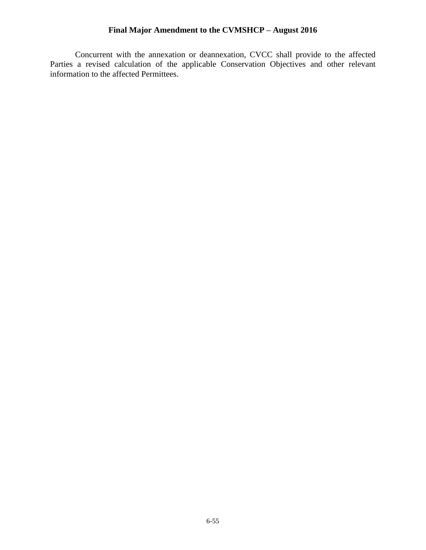Concurrent with the annexation or deannexation, CVCC shall provide to the affected Parties a revised calculation of the applicable Conservation Objectives and other relevant information to the affected Permittees.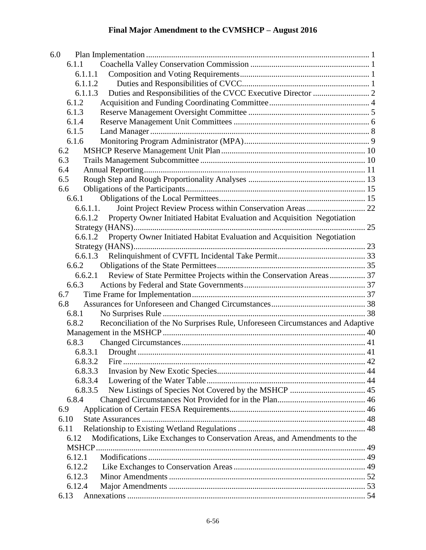| 6.0                                                                                     |  |
|-----------------------------------------------------------------------------------------|--|
| 6.1.1                                                                                   |  |
| 6.1.1.1                                                                                 |  |
| 6.1.1.2                                                                                 |  |
| 6.1.1.3                                                                                 |  |
| 6.1.2                                                                                   |  |
| 6.1.3                                                                                   |  |
| 6.1.4                                                                                   |  |
| 6.1.5                                                                                   |  |
| 6.1.6                                                                                   |  |
| 6.2                                                                                     |  |
| 6.3                                                                                     |  |
| 6.4                                                                                     |  |
| 6.5                                                                                     |  |
| 6.6                                                                                     |  |
| 6.6.1                                                                                   |  |
| Joint Project Review Process within Conservation Areas  22<br>6.6.1.1.                  |  |
| Property Owner Initiated Habitat Evaluation and Acquisition Negotiation<br>6.6.1.2      |  |
|                                                                                         |  |
| 6.6.1.2 Property Owner Initiated Habitat Evaluation and Acquisition Negotiation         |  |
|                                                                                         |  |
|                                                                                         |  |
| 6.6.2                                                                                   |  |
| Review of State Permittee Projects within the Conservation Areas 37<br>6.6.2.1          |  |
| 6.6.3                                                                                   |  |
| 6.7                                                                                     |  |
| 6.8                                                                                     |  |
| 6.8.1                                                                                   |  |
| Reconciliation of the No Surprises Rule, Unforeseen Circumstances and Adaptive<br>6.8.2 |  |
|                                                                                         |  |
| 6.8.3                                                                                   |  |
| 6.8.3.1                                                                                 |  |
|                                                                                         |  |
| 6.8.3.3                                                                                 |  |
| 6.8.3.4                                                                                 |  |
| 6.8.3.5                                                                                 |  |
| 6.8.4                                                                                   |  |
| 6.9                                                                                     |  |
| 6.10                                                                                    |  |
| 6.11                                                                                    |  |
| Modifications, Like Exchanges to Conservation Areas, and Amendments to the<br>6.12      |  |
|                                                                                         |  |
| 6.12.1                                                                                  |  |
| 6.12.2                                                                                  |  |
| 6.12.3                                                                                  |  |
| 6.12.4                                                                                  |  |
| 6.13                                                                                    |  |